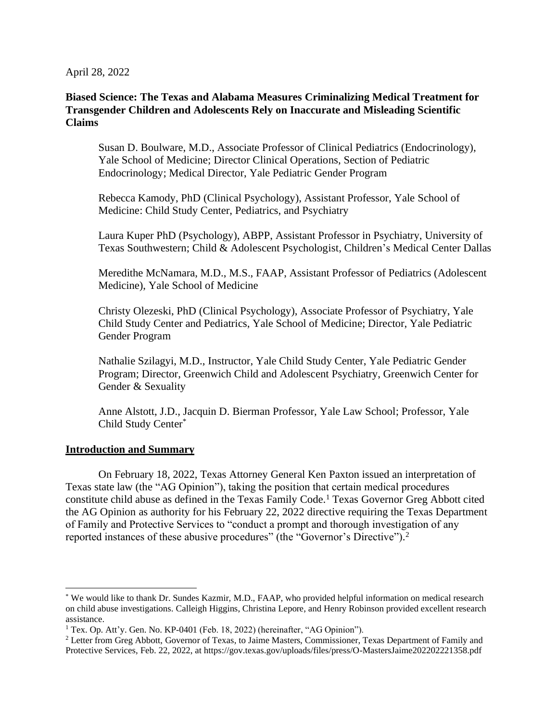April 28, 2022

# **Biased Science: The Texas and Alabama Measures Criminalizing Medical Treatment for Transgender Children and Adolescents Rely on Inaccurate and Misleading Scientific Claims**

Susan D. Boulware, M.D., Associate Professor of Clinical Pediatrics (Endocrinology), Yale School of Medicine; Director Clinical Operations, Section of Pediatric Endocrinology; Medical Director, Yale Pediatric Gender Program

Rebecca Kamody, PhD (Clinical Psychology), Assistant Professor, Yale School of Medicine: Child Study Center, Pediatrics, and Psychiatry

Laura Kuper PhD (Psychology), ABPP, Assistant Professor in Psychiatry, University of Texas Southwestern; Child & Adolescent Psychologist, Children's Medical Center Dallas

Meredithe McNamara, M.D., M.S., FAAP, Assistant Professor of Pediatrics (Adolescent Medicine), Yale School of Medicine

Christy Olezeski, PhD (Clinical Psychology), Associate Professor of Psychiatry, Yale Child Study Center and Pediatrics, Yale School of Medicine; Director, Yale Pediatric Gender Program

Nathalie Szilagyi, M.D., Instructor, Yale Child Study Center, Yale Pediatric Gender Program; Director, Greenwich Child and Adolescent Psychiatry, Greenwich Center for Gender & Sexuality

Anne Alstott, J.D., Jacquin D. Bierman Professor, Yale Law School; Professor, Yale Child Study Center\*

#### **Introduction and Summary**

On February 18, 2022, Texas Attorney General Ken Paxton issued an interpretation of Texas state law (the "AG Opinion"), taking the position that certain medical procedures constitute child abuse as defined in the Texas Family Code.<sup>1</sup> Texas Governor Greg Abbott cited the AG Opinion as authority for his February 22, 2022 directive requiring the Texas Department of Family and Protective Services to "conduct a prompt and thorough investigation of any reported instances of these abusive procedures" (the "Governor's Directive").<sup>2</sup>

<sup>\*</sup> We would like to thank Dr. Sundes Kazmir, M.D., FAAP, who provided helpful information on medical research on child abuse investigations. Calleigh Higgins, Christina Lepore, and Henry Robinson provided excellent research assistance.

<sup>&</sup>lt;sup>1</sup> Tex. Op. Att'y. Gen. No. KP-0401 (Feb. 18, 2022) (hereinafter, "AG Opinion").

<sup>2</sup> Letter from Greg Abbott, Governor of Texas, to Jaime Masters, Commissioner, Texas Department of Family and Protective Services, Feb. 22, 2022, a[t https://gov.texas.gov/uploads/files/press/O-MastersJaime202202221358.pdf](https://gov.texas.gov/uploads/files/press/O-MastersJaime202202221358.pdf)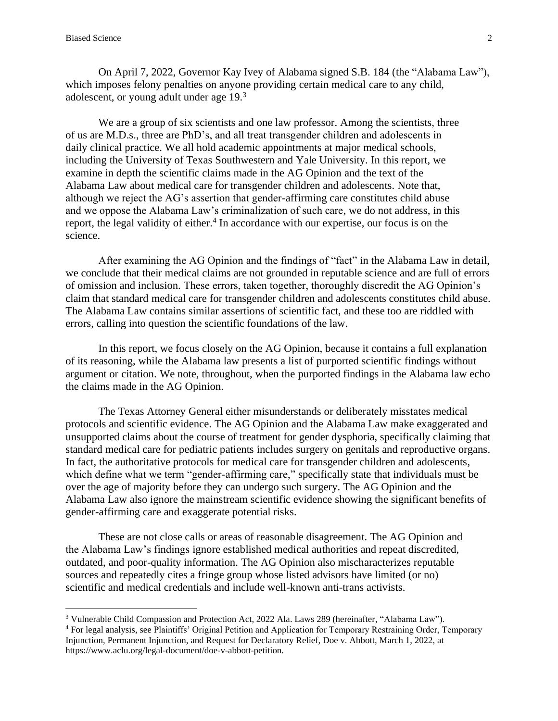On April 7, 2022, Governor Kay Ivey of Alabama signed S.B. 184 (the "Alabama Law"), which imposes felony penalties on anyone providing certain medical care to any child, adolescent, or young adult under age 19.<sup>3</sup>

We are a group of six scientists and one law professor. Among the scientists, three of us are M.D.s., three are PhD's, and all treat transgender children and adolescents in daily clinical practice. We all hold academic appointments at major medical schools, including the University of Texas Southwestern and Yale University. In this report, we examine in depth the scientific claims made in the AG Opinion and the text of the Alabama Law about medical care for transgender children and adolescents. Note that, although we reject the AG's assertion that gender-affirming care constitutes child abuse and we oppose the Alabama Law's criminalization of such care, we do not address, in this report, the legal validity of either. 4 In accordance with our expertise, our focus is on the science.

After examining the AG Opinion and the findings of "fact" in the Alabama Law in detail, we conclude that their medical claims are not grounded in reputable science and are full of errors of omission and inclusion. These errors, taken together, thoroughly discredit the AG Opinion's claim that standard medical care for transgender children and adolescents constitutes child abuse. The Alabama Law contains similar assertions of scientific fact, and these too are riddled with errors, calling into question the scientific foundations of the law.

In this report, we focus closely on the AG Opinion, because it contains a full explanation of its reasoning, while the Alabama law presents a list of purported scientific findings without argument or citation. We note, throughout, when the purported findings in the Alabama law echo the claims made in the AG Opinion.

The Texas Attorney General either misunderstands or deliberately misstates medical protocols and scientific evidence. The AG Opinion and the Alabama Law make exaggerated and unsupported claims about the course of treatment for gender dysphoria, specifically claiming that standard medical care for pediatric patients includes surgery on genitals and reproductive organs. In fact, the authoritative protocols for medical care for transgender children and adolescents, which define what we term "gender-affirming care," specifically state that individuals must be over the age of majority before they can undergo such surgery. The AG Opinion and the Alabama Law also ignore the mainstream scientific evidence showing the significant benefits of gender-affirming care and exaggerate potential risks.

These are not close calls or areas of reasonable disagreement. The AG Opinion and the Alabama Law's findings ignore established medical authorities and repeat discredited, outdated, and poor-quality information. The AG Opinion also mischaracterizes reputable sources and repeatedly cites a fringe group whose listed advisors have limited (or no) scientific and medical credentials and include well-known anti-trans activists.

<sup>3</sup> Vulnerable Child Compassion and Protection Act, 2022 Ala. Laws 289 (hereinafter, "Alabama Law").

<sup>4</sup> For legal analysis, see Plaintiffs' Original Petition and Application for Temporary Restraining Order, Temporary Injunction, Permanent Injunction, and Request for Declaratory Relief, Doe v. Abbott, March 1, 2022, at [https://www.aclu.org/legal-document/doe-v-abbott-petition.](https://www.aclu.org/legal-document/doe-v-abbott-petition)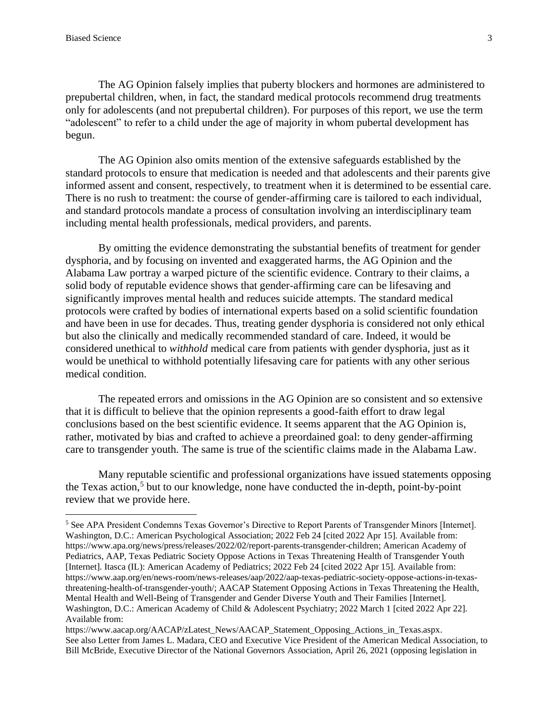The AG Opinion falsely implies that puberty blockers and hormones are administered to prepubertal children, when, in fact, the standard medical protocols recommend drug treatments only for adolescents (and not prepubertal children). For purposes of this report, we use the term "adolescent" to refer to a child under the age of majority in whom pubertal development has begun.

The AG Opinion also omits mention of the extensive safeguards established by the standard protocols to ensure that medication is needed and that adolescents and their parents give informed assent and consent, respectively, to treatment when it is determined to be essential care. There is no rush to treatment: the course of gender-affirming care is tailored to each individual, and standard protocols mandate a process of consultation involving an interdisciplinary team including mental health professionals, medical providers, and parents.

By omitting the evidence demonstrating the substantial benefits of treatment for gender dysphoria, and by focusing on invented and exaggerated harms, the AG Opinion and the Alabama Law portray a warped picture of the scientific evidence. Contrary to their claims, a solid body of reputable evidence shows that gender-affirming care can be lifesaving and significantly improves mental health and reduces suicide attempts. The standard medical protocols were crafted by bodies of international experts based on a solid scientific foundation and have been in use for decades. Thus, treating gender dysphoria is considered not only ethical but also the clinically and medically recommended standard of care. Indeed, it would be considered unethical to *withhold* medical care from patients with gender dysphoria, just as it would be unethical to withhold potentially lifesaving care for patients with any other serious medical condition.

The repeated errors and omissions in the AG Opinion are so consistent and so extensive that it is difficult to believe that the opinion represents a good-faith effort to draw legal conclusions based on the best scientific evidence. It seems apparent that the AG Opinion is, rather, motivated by bias and crafted to achieve a preordained goal: to deny gender-affirming care to transgender youth. The same is true of the scientific claims made in the Alabama Law.

Many reputable scientific and professional organizations have issued statements opposing the Texas action,<sup>5</sup> but to our knowledge, none have conducted the in-depth, point-by-point review that we provide here.

<sup>5</sup> See APA President Condemns Texas Governor's Directive to Report Parents of Transgender Minors [Internet]. Washington, D.C.: American Psychological Association; 2022 Feb 24 [cited 2022 Apr 15]. Available from: [https://www.apa.org/news/press/releases/2022/02/report-parents-transgender-children;](https://www.apa.org/news/press/releases/2022/02/report-parents-transgender-children) American Academy of Pediatrics, AAP, Texas Pediatric Society Oppose Actions in Texas Threatening Health of Transgender Youth [Internet]. Itasca (IL): American Academy of Pediatrics; 2022 Feb 24 [cited 2022 Apr 15]. Available from: [https://www.aap.org/en/news-room/news-releases/aap/2022/aap-texas-pediatric-society-oppose-actions-in-texas](https://www.aap.org/en/news-room/news-releases/aap/2022/aap-texas-pediatric-society-oppose-actions-in-texas-threatening-health-of-transgender-youth/)[threatening-health-of-transgender-youth/;](https://www.aap.org/en/news-room/news-releases/aap/2022/aap-texas-pediatric-society-oppose-actions-in-texas-threatening-health-of-transgender-youth/) AACAP Statement Opposing Actions in Texas Threatening the Health, Mental Health and Well-Being of Transgender and Gender Diverse Youth and Their Families [Internet]. Washington, D.C.: American Academy of Child & Adolescent Psychiatry; 2022 March 1 [cited 2022 Apr 22]. Available from:

[https://www.aacap.org/AACAP/zLatest\\_News/AACAP\\_Statement\\_Opposing\\_Actions\\_in\\_Texas.aspx.](https://www.aacap.org/AACAP/zLatest_News/AACAP_Statement_Opposing_Actions_in_Texas.aspx) See also Letter from James L. Madara, CEO and Executive Vice President of the American Medical Association, to Bill McBride, Executive Director of the National Governors Association, April 26, 2021 (opposing legislation in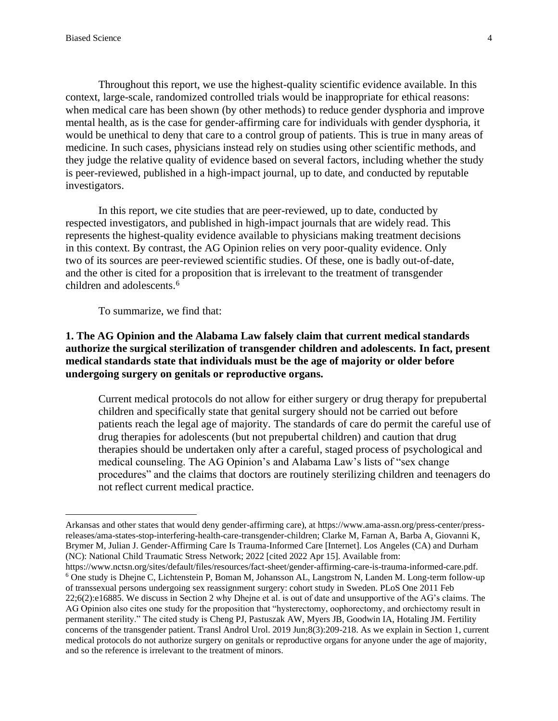Throughout this report, we use the highest-quality scientific evidence available. In this context, large-scale, randomized controlled trials would be inappropriate for ethical reasons: when medical care has been shown (by other methods) to reduce gender dysphoria and improve mental health, as is the case for gender-affirming care for individuals with gender dysphoria, it would be unethical to deny that care to a control group of patients. This is true in many areas of medicine. In such cases, physicians instead rely on studies using other scientific methods, and they judge the relative quality of evidence based on several factors, including whether the study is peer-reviewed, published in a high-impact journal, up to date, and conducted by reputable investigators.

In this report, we cite studies that are peer-reviewed, up to date, conducted by respected investigators, and published in high-impact journals that are widely read. This represents the highest-quality evidence available to physicians making treatment decisions in this context. By contrast, the AG Opinion relies on very poor-quality evidence. Only two of its sources are peer-reviewed scientific studies. Of these, one is badly out-of-date, and the other is cited for a proposition that is irrelevant to the treatment of transgender children and adolescents.<sup>6</sup>

To summarize, we find that:

# **1. The AG Opinion and the Alabama Law falsely claim that current medical standards authorize the surgical sterilization of transgender children and adolescents. In fact, present medical standards state that individuals must be the age of majority or older before undergoing surgery on genitals or reproductive organs.**

Current medical protocols do not allow for either surgery or drug therapy for prepubertal children and specifically state that genital surgery should not be carried out before patients reach the legal age of majority. The standards of care do permit the careful use of drug therapies for adolescents (but not prepubertal children) and caution that drug therapies should be undertaken only after a careful, staged process of psychological and medical counseling. The AG Opinion's and Alabama Law's lists of "sex change procedures" and the claims that doctors are routinely sterilizing children and teenagers do not reflect current medical practice.

Arkansas and other states that would deny gender-affirming care), at [https://www.ama-assn.org/press-center/press](https://www.ama-assn.org/press-center/press-releases/ama-states-stop-interfering-health-care-transgender-children)[releases/ama-states-stop-interfering-health-care-transgender-children;](https://www.ama-assn.org/press-center/press-releases/ama-states-stop-interfering-health-care-transgender-children) Clarke M, Farnan A, Barba A, Giovanni K, Brymer M, Julian J. Gender-Affirming Care Is Trauma-Informed Care [Internet]. Los Angeles (CA) and Durham (NC): National Child Traumatic Stress Network; 2022 [cited 2022 Apr 15]. Available from:

[https://www.nctsn.org/sites/default/files/resources/fact-sheet/gender-affirming-care-is-trauma-informed-care.pdf.](https://www.nctsn.org/sites/default/files/resources/fact-sheet/gender-affirming-care-is-trauma-informed-care.pdf) <sup>6</sup> One study is Dhejne C, Lichtenstein P, Boman M, Johansson AL, Langstrom N, Landen M. Long-term follow-up of transsexual persons undergoing sex reassignment surgery: cohort study in Sweden. PLoS One 2011 Feb 22;6(2):e16885. We discuss in Section 2 why Dhejne et al. is out of date and unsupportive of the AG's claims. The AG Opinion also cites one study for the proposition that "hysterectomy, oophorectomy, and orchiectomy result in permanent sterility." The cited study is Cheng PJ, Pastuszak AW, Myers JB, Goodwin IA, Hotaling JM. Fertility concerns of the transgender patient. Transl Androl Urol. 2019 Jun;8(3):209-218. As we explain in Section 1, current medical protocols do not authorize surgery on genitals or reproductive organs for anyone under the age of majority, and so the reference is irrelevant to the treatment of minors.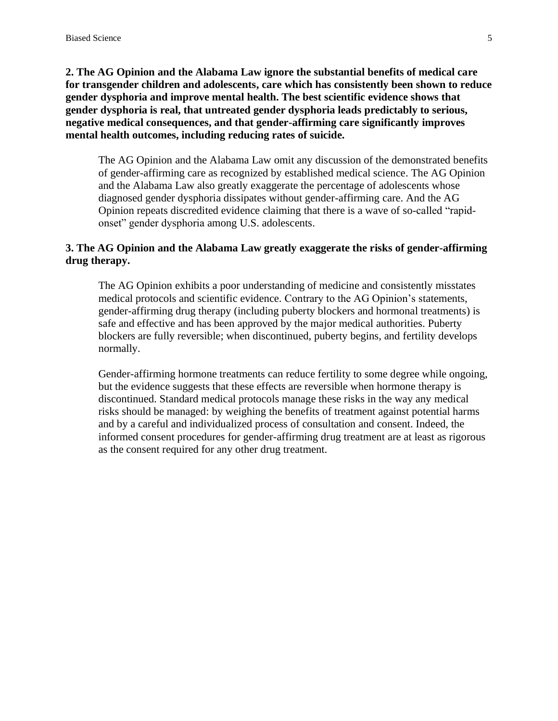**2. The AG Opinion and the Alabama Law ignore the substantial benefits of medical care for transgender children and adolescents, care which has consistently been shown to reduce gender dysphoria and improve mental health. The best scientific evidence shows that gender dysphoria is real, that untreated gender dysphoria leads predictably to serious, negative medical consequences, and that gender-affirming care significantly improves mental health outcomes, including reducing rates of suicide.** 

The AG Opinion and the Alabama Law omit any discussion of the demonstrated benefits of gender-affirming care as recognized by established medical science. The AG Opinion and the Alabama Law also greatly exaggerate the percentage of adolescents whose diagnosed gender dysphoria dissipates without gender-affirming care. And the AG Opinion repeats discredited evidence claiming that there is a wave of so-called "rapidonset" gender dysphoria among U.S. adolescents.

## **3. The AG Opinion and the Alabama Law greatly exaggerate the risks of gender-affirming drug therapy.**

The AG Opinion exhibits a poor understanding of medicine and consistently misstates medical protocols and scientific evidence. Contrary to the AG Opinion's statements, gender-affirming drug therapy (including puberty blockers and hormonal treatments) is safe and effective and has been approved by the major medical authorities. Puberty blockers are fully reversible; when discontinued, puberty begins, and fertility develops normally.

Gender-affirming hormone treatments can reduce fertility to some degree while ongoing, but the evidence suggests that these effects are reversible when hormone therapy is discontinued. Standard medical protocols manage these risks in the way any medical risks should be managed: by weighing the benefits of treatment against potential harms and by a careful and individualized process of consultation and consent. Indeed, the informed consent procedures for gender-affirming drug treatment are at least as rigorous as the consent required for any other drug treatment.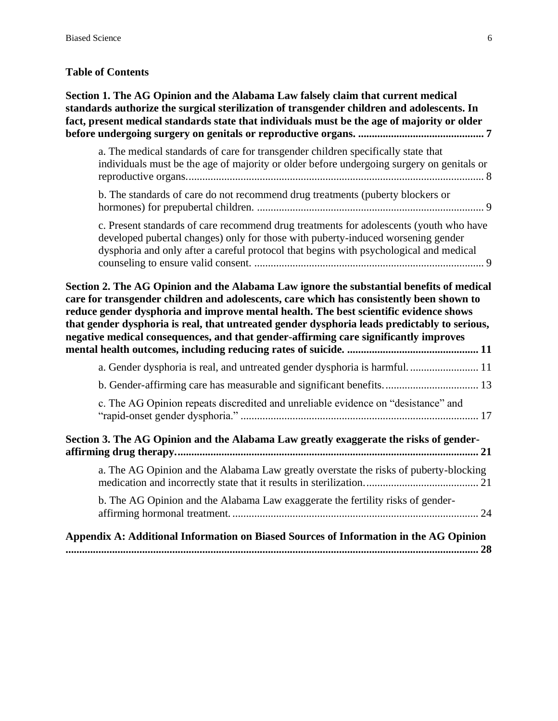# **Table of Contents**

| Section 1. The AG Opinion and the Alabama Law falsely claim that current medical<br>standards authorize the surgical sterilization of transgender children and adolescents. In<br>fact, present medical standards state that individuals must be the age of majority or older                                                                                                                                                                                         |
|-----------------------------------------------------------------------------------------------------------------------------------------------------------------------------------------------------------------------------------------------------------------------------------------------------------------------------------------------------------------------------------------------------------------------------------------------------------------------|
| a. The medical standards of care for transgender children specifically state that<br>individuals must be the age of majority or older before undergoing surgery on genitals or                                                                                                                                                                                                                                                                                        |
| b. The standards of care do not recommend drug treatments (puberty blockers or                                                                                                                                                                                                                                                                                                                                                                                        |
| c. Present standards of care recommend drug treatments for adolescents (youth who have<br>developed pubertal changes) only for those with puberty-induced worsening gender<br>dysphoria and only after a careful protocol that begins with psychological and medical                                                                                                                                                                                                  |
| Section 2. The AG Opinion and the Alabama Law ignore the substantial benefits of medical<br>care for transgender children and adolescents, care which has consistently been shown to<br>reduce gender dysphoria and improve mental health. The best scientific evidence shows<br>that gender dysphoria is real, that untreated gender dysphoria leads predictably to serious,<br>negative medical consequences, and that gender-affirming care significantly improves |
| a. Gender dysphoria is real, and untreated gender dysphoria is harmful 11                                                                                                                                                                                                                                                                                                                                                                                             |
| b. Gender-affirming care has measurable and significant benefits 13                                                                                                                                                                                                                                                                                                                                                                                                   |
| c. The AG Opinion repeats discredited and unreliable evidence on "desistance" and                                                                                                                                                                                                                                                                                                                                                                                     |
| Section 3. The AG Opinion and the Alabama Law greatly exaggerate the risks of gender-                                                                                                                                                                                                                                                                                                                                                                                 |
| a. The AG Opinion and the Alabama Law greatly overstate the risks of puberty-blocking                                                                                                                                                                                                                                                                                                                                                                                 |
| b. The AG Opinion and the Alabama Law exaggerate the fertility risks of gender-                                                                                                                                                                                                                                                                                                                                                                                       |
| Appendix A: Additional Information on Biased Sources of Information in the AG Opinion                                                                                                                                                                                                                                                                                                                                                                                 |
|                                                                                                                                                                                                                                                                                                                                                                                                                                                                       |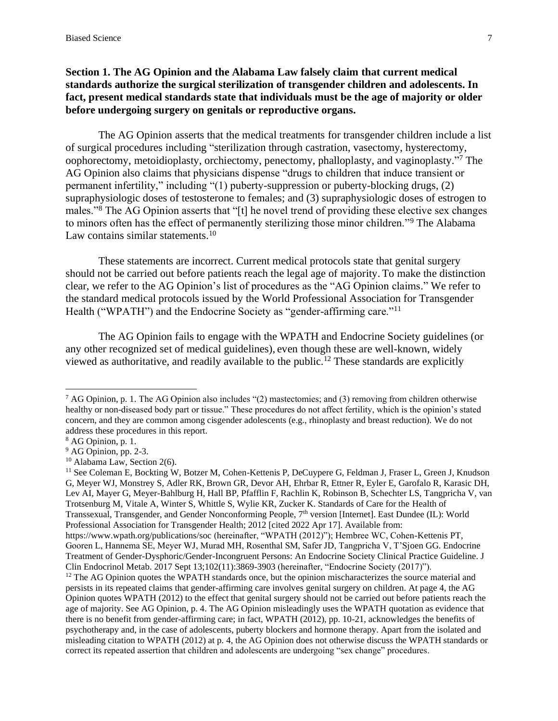# <span id="page-6-0"></span>**Section 1. The AG Opinion and the Alabama Law falsely claim that current medical standards authorize the surgical sterilization of transgender children and adolescents. In fact, present medical standards state that individuals must be the age of majority or older before undergoing surgery on genitals or reproductive organs.**

The AG Opinion asserts that the medical treatments for transgender children include a list of surgical procedures including "sterilization through castration, vasectomy, hysterectomy, oophorectomy, metoidioplasty, orchiectomy, penectomy, phalloplasty, and vaginoplasty." <sup>7</sup> The AG Opinion also claims that physicians dispense "drugs to children that induce transient or permanent infertility," including "(1) puberty-suppression or puberty-blocking drugs, (2) supraphysiologic doses of testosterone to females; and (3) supraphysiologic doses of estrogen to males."<sup>8</sup> The AG Opinion asserts that "[t] he novel trend of providing these elective sex changes to minors often has the effect of permanently sterilizing those minor children."<sup>9</sup> The Alabama Law contains similar statements.<sup>10</sup>

These statements are incorrect. Current medical protocols state that genital surgery should not be carried out before patients reach the legal age of majority. To make the distinction clear, we refer to the AG Opinion's list of procedures as the "AG Opinion claims." We refer to the standard medical protocols issued by the World Professional Association for Transgender Health ("WPATH") and the Endocrine Society as "gender-affirming care."<sup>11</sup>

The AG Opinion fails to engage with the WPATH and Endocrine Society guidelines (or any other recognized set of medical guidelines), even though these are well-known, widely viewed as authoritative, and readily available to the public. <sup>12</sup> These standards are explicitly

correct its repeated assertion that children and adolescents are undergoing "sex change" procedures.

<sup>&</sup>lt;sup>7</sup> AG Opinion, p. 1. The AG Opinion also includes "(2) mastectomies; and (3) removing from children otherwise healthy or non-diseased body part or tissue." These procedures do not affect fertility, which is the opinion's stated concern, and they are common among cisgender adolescents (e.g., rhinoplasty and breast reduction). We do not address these procedures in this report.

<sup>8</sup> AG Opinion, p. 1.

 $9$  AG Opinion, pp. 2-3.

<sup>&</sup>lt;sup>10</sup> Alabama Law, Section 2(6).

<sup>&</sup>lt;sup>11</sup> See Coleman E, Bockting W, Botzer M, Cohen-Kettenis P, DeCuypere G, Feldman J, Fraser L, Green J, Knudson G, Meyer WJ, Monstrey S, Adler RK, Brown GR, Devor AH, Ehrbar R, Ettner R, Eyler E, Garofalo R, Karasic DH, Lev AI, Mayer G, Meyer-Bahlburg H, Hall BP, Pfafflin F, Rachlin K, Robinson B, Schechter LS, Tangpricha V, van Trotsenburg M, Vitale A, Winter S, Whittle S, Wylie KR, Zucker K. Standards of Care for the Health of Transsexual, Transgender, and Gender Nonconforming People, 7<sup>th</sup> version [Internet]. East Dundee (IL): World Professional Association for Transgender Health; 2012 [cited 2022 Apr 17]. Available from: <https://www.wpath.org/publications/soc> (hereinafter, "WPATH (2012)"); Hembree WC, Cohen-Kettenis PT, Gooren L, Hannema SE, Meyer WJ, Murad MH, Rosenthal SM, Safer JD, Tangpricha V, T'Sjoen GG. Endocrine Treatment of Gender-Dysphoric/Gender-Incongruent Persons: An Endocrine Society Clinical Practice Guideline. J Clin Endocrinol Metab. 2017 Sept 13;102(11):3869-3903 (hereinafter, "Endocrine Society (2017)").  $12$  The AG Opinion quotes the WPATH standards once, but the opinion mischaracterizes the source material and persists in its repeated claims that gender-affirming care involves genital surgery on children. At page 4, the AG Opinion quotes WPATH (2012) to the effect that genital surgery should not be carried out before patients reach the age of majority. See AG Opinion, p. 4. The AG Opinion misleadingly uses the WPATH quotation as evidence that there is no benefit from gender-affirming care; in fact, WPATH (2012), pp. 10-21, acknowledges the benefits of psychotherapy and, in the case of adolescents, puberty blockers and hormone therapy. Apart from the isolated and misleading citation to WPATH (2012) at p. 4, the AG Opinion does not otherwise discuss the WPATH standards or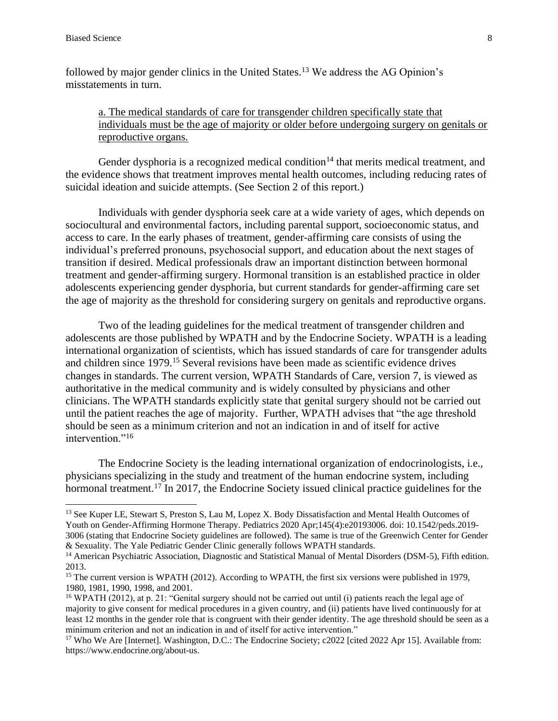followed by major gender clinics in the United States.<sup>13</sup> We address the AG Opinion's misstatements in turn.

<span id="page-7-0"></span>a. The medical standards of care for transgender children specifically state that individuals must be the age of majority or older before undergoing surgery on genitals or reproductive organs.

Gender dysphoria is a recognized medical condition<sup>14</sup> that merits medical treatment, and the evidence shows that treatment improves mental health outcomes, including reducing rates of suicidal ideation and suicide attempts. (See Section 2 of this report.)

Individuals with gender dysphoria seek care at a wide variety of ages, which depends on sociocultural and environmental factors, including parental support, socioeconomic status, and access to care. In the early phases of treatment, gender-affirming care consists of using the individual's preferred pronouns, psychosocial support, and education about the next stages of transition if desired. Medical professionals draw an important distinction between hormonal treatment and gender-affirming surgery. Hormonal transition is an established practice in older adolescents experiencing gender dysphoria, but current standards for gender-affirming care set the age of majority as the threshold for considering surgery on genitals and reproductive organs.

Two of the leading guidelines for the medical treatment of transgender children and adolescents are those published by WPATH and by the Endocrine Society. WPATH is a leading international organization of scientists, which has issued standards of care for transgender adults and children since 1979. <sup>15</sup> Several revisions have been made as scientific evidence drives changes in standards. The current version, WPATH Standards of Care, version 7, is viewed as authoritative in the medical community and is widely consulted by physicians and other clinicians. The WPATH standards explicitly state that genital surgery should not be carried out until the patient reaches the age of majority. Further, WPATH advises that "the age threshold should be seen as a minimum criterion and not an indication in and of itself for active intervention."<sup>16</sup>

The Endocrine Society is the leading international organization of endocrinologists, i.e., physicians specializing in the study and treatment of the human endocrine system, including hormonal treatment.<sup>17</sup> In 2017, the Endocrine Society issued clinical practice guidelines for the

<sup>&</sup>lt;sup>13</sup> See Kuper LE, Stewart S, Preston S, Lau M, Lopez X. Body Dissatisfaction and Mental Health Outcomes of Youth on Gender-Affirming Hormone Therapy. Pediatrics 2020 Apr;145(4):e20193006. doi: 10.1542/peds.2019- 3006 (stating that Endocrine Society guidelines are followed). The same is true of the Greenwich Center for Gender & Sexuality. The Yale Pediatric Gender Clinic generally follows WPATH standards.

<sup>&</sup>lt;sup>14</sup> American Psychiatric Association, Diagnostic and Statistical Manual of Mental Disorders (DSM-5), Fifth edition. 2013.

<sup>&</sup>lt;sup>15</sup> The current version is WPATH (2012). According to WPATH, the first six versions were published in 1979, 1980, 1981, 1990, 1998, and 2001.

<sup>16</sup> WPATH (2012), at p. 21: "Genital surgery should not be carried out until (i) patients reach the legal age of majority to give consent for medical procedures in a given country, and (ii) patients have lived continuously for at least 12 months in the gender role that is congruent with their gender identity. The age threshold should be seen as a minimum criterion and not an indication in and of itself for active intervention."

<sup>&</sup>lt;sup>17</sup> Who We Are [Internet]. Washington, D.C.: The Endocrine Society; c2022 [cited 2022 Apr 15]. Available from: [https://www.endocrine.org/about-us.](https://www.endocrine.org/about-us)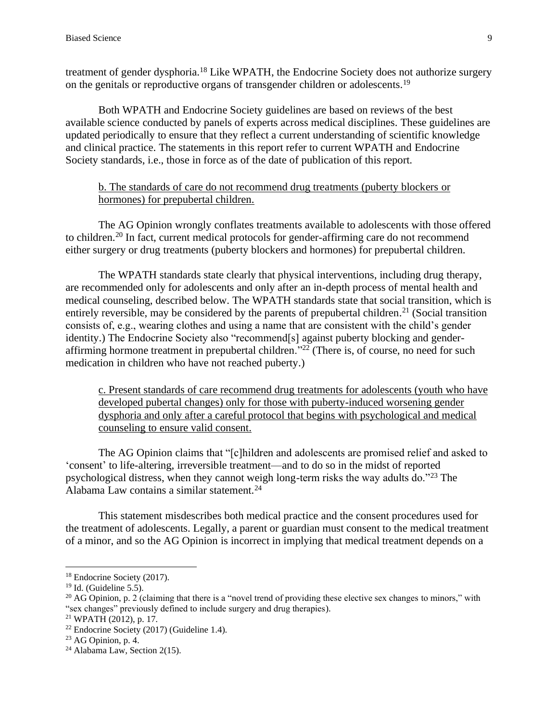treatment of gender dysphoria.<sup>18</sup> Like WPATH, the Endocrine Society does not authorize surgery on the genitals or reproductive organs of transgender children or adolescents.<sup>19</sup>

Both WPATH and Endocrine Society guidelines are based on reviews of the best available science conducted by panels of experts across medical disciplines. These guidelines are updated periodically to ensure that they reflect a current understanding of scientific knowledge and clinical practice. The statements in this report refer to current WPATH and Endocrine Society standards, i.e., those in force as of the date of publication of this report.

## <span id="page-8-0"></span>b. The standards of care do not recommend drug treatments (puberty blockers or hormones) for prepubertal children.

The AG Opinion wrongly conflates treatments available to adolescents with those offered to children.<sup>20</sup> In fact, current medical protocols for gender-affirming care do not recommend either surgery or drug treatments (puberty blockers and hormones) for prepubertal children.

The WPATH standards state clearly that physical interventions, including drug therapy, are recommended only for adolescents and only after an in-depth process of mental health and medical counseling, described below. The WPATH standards state that social transition, which is entirely reversible, may be considered by the parents of prepubertal children.<sup>21</sup> (Social transition consists of, e.g., wearing clothes and using a name that are consistent with the child's gender identity.) The Endocrine Society also "recommend[s] against puberty blocking and genderaffirming hormone treatment in prepubertal children."<sup>22</sup> (There is, of course, no need for such medication in children who have not reached puberty.)

<span id="page-8-1"></span>c. Present standards of care recommend drug treatments for adolescents (youth who have developed pubertal changes) only for those with puberty-induced worsening gender dysphoria and only after a careful protocol that begins with psychological and medical counseling to ensure valid consent.

The AG Opinion claims that "[c]hildren and adolescents are promised relief and asked to 'consent' to life-altering, irreversible treatment—and to do so in the midst of reported psychological distress, when they cannot weigh long-term risks the way adults do."<sup>23</sup> The Alabama Law contains a similar statement.<sup>24</sup>

This statement misdescribes both medical practice and the consent procedures used for the treatment of adolescents. Legally, a parent or guardian must consent to the medical treatment of a minor, and so the AG Opinion is incorrect in implying that medical treatment depends on a

<sup>18</sup> Endocrine Society (2017).

 $19$  Id. (Guideline 5.5).

<sup>&</sup>lt;sup>20</sup> AG Opinion, p. 2 (claiming that there is a "novel trend of providing these elective sex changes to minors," with "sex changes" previously defined to include surgery and drug therapies).

<sup>21</sup> WPATH (2012), p. 17.

 $22$  Endocrine Society (2017) (Guideline 1.4).

<sup>23</sup> AG Opinion, p. 4.

 $24$  Alabama Law, Section 2(15).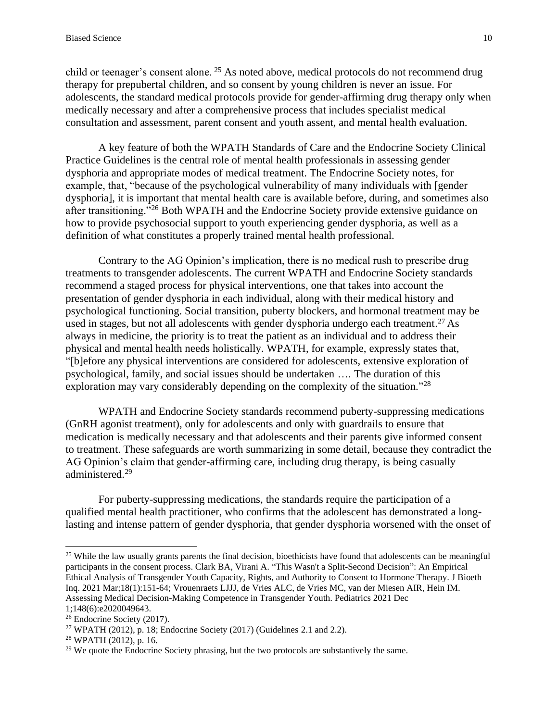child or teenager's consent alone. <sup>25</sup> As noted above, medical protocols do not recommend drug therapy for prepubertal children, and so consent by young children is never an issue. For adolescents, the standard medical protocols provide for gender-affirming drug therapy only when medically necessary and after a comprehensive process that includes specialist medical consultation and assessment, parent consent and youth assent, and mental health evaluation.

A key feature of both the WPATH Standards of Care and the Endocrine Society Clinical Practice Guidelines is the central role of mental health professionals in assessing gender dysphoria and appropriate modes of medical treatment. The Endocrine Society notes, for example, that, "because of the psychological vulnerability of many individuals with [gender dysphoria], it is important that mental health care is available before, during, and sometimes also after transitioning."<sup>26</sup> Both WPATH and the Endocrine Society provide extensive guidance on how to provide psychosocial support to youth experiencing gender dysphoria, as well as a definition of what constitutes a properly trained mental health professional.

Contrary to the AG Opinion's implication, there is no medical rush to prescribe drug treatments to transgender adolescents. The current WPATH and Endocrine Society standards recommend a staged process for physical interventions, one that takes into account the presentation of gender dysphoria in each individual, along with their medical history and psychological functioning. Social transition, puberty blockers, and hormonal treatment may be used in stages, but not all adolescents with gender dysphoria undergo each treatment. <sup>27</sup> As always in medicine, the priority is to treat the patient as an individual and to address their physical and mental health needs holistically. WPATH, for example, expressly states that, "[b]efore any physical interventions are considered for adolescents, extensive exploration of psychological, family, and social issues should be undertaken …. The duration of this exploration may vary considerably depending on the complexity of the situation."<sup>28</sup>

WPATH and Endocrine Society standards recommend puberty-suppressing medications (GnRH agonist treatment), only for adolescents and only with guardrails to ensure that medication is medically necessary and that adolescents and their parents give informed consent to treatment. These safeguards are worth summarizing in some detail, because they contradict the AG Opinion's claim that gender-affirming care, including drug therapy, is being casually administered.<sup>29</sup>

For puberty-suppressing medications, the standards require the participation of a qualified mental health practitioner, who confirms that the adolescent has demonstrated a longlasting and intense pattern of gender dysphoria, that gender dysphoria worsened with the onset of

 $25$  While the law usually grants parents the final decision, bioethicists have found that adolescents can be meaningful participants in the consent process. Clark BA, Virani A. "This Wasn't a Split-Second Decision": An Empirical Ethical Analysis of Transgender Youth Capacity, Rights, and Authority to Consent to Hormone Therapy. J Bioeth Inq. 2021 Mar;18(1):151-64; Vrouenraets LJJJ, de Vries ALC, de Vries MC, van der Miesen AIR, Hein IM. Assessing Medical Decision-Making Competence in Transgender Youth. Pediatrics 2021 Dec 1;148(6):e2020049643.

<sup>26</sup> Endocrine Society (2017).

 $27$  WPATH (2012), p. 18; Endocrine Society (2017) (Guidelines 2.1 and 2.2).

<sup>28</sup> WPATH (2012), p. 16.

 $29$  We quote the Endocrine Society phrasing, but the two protocols are substantively the same.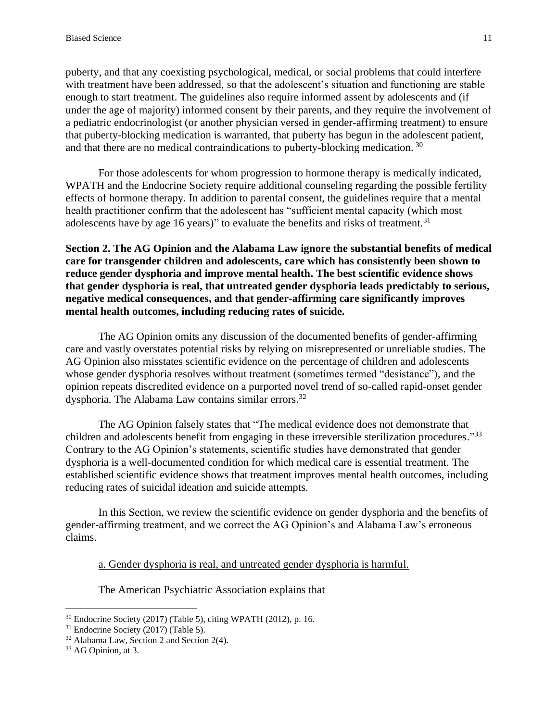puberty, and that any coexisting psychological, medical, or social problems that could interfere with treatment have been addressed, so that the adolescent's situation and functioning are stable enough to start treatment. The guidelines also require informed assent by adolescents and (if under the age of majority) informed consent by their parents, and they require the involvement of a pediatric endocrinologist (or another physician versed in gender-affirming treatment) to ensure that puberty-blocking medication is warranted, that puberty has begun in the adolescent patient, and that there are no medical contraindications to puberty-blocking medication.<sup>30</sup>

For those adolescents for whom progression to hormone therapy is medically indicated, WPATH and the Endocrine Society require additional counseling regarding the possible fertility effects of hormone therapy. In addition to parental consent, the guidelines require that a mental health practitioner confirm that the adolescent has "sufficient mental capacity (which most adolescents have by age 16 years)" to evaluate the benefits and risks of treatment.<sup>31</sup>

<span id="page-10-0"></span>**Section 2. The AG Opinion and the Alabama Law ignore the substantial benefits of medical care for transgender children and adolescents, care which has consistently been shown to reduce gender dysphoria and improve mental health. The best scientific evidence shows that gender dysphoria is real, that untreated gender dysphoria leads predictably to serious, negative medical consequences, and that gender-affirming care significantly improves mental health outcomes, including reducing rates of suicide.**

The AG Opinion omits any discussion of the documented benefits of gender-affirming care and vastly overstates potential risks by relying on misrepresented or unreliable studies. The AG Opinion also misstates scientific evidence on the percentage of children and adolescents whose gender dysphoria resolves without treatment (sometimes termed "desistance"), and the opinion repeats discredited evidence on a purported novel trend of so-called rapid-onset gender dysphoria. The Alabama Law contains similar errors.<sup>32</sup>

The AG Opinion falsely states that "The medical evidence does not demonstrate that children and adolescents benefit from engaging in these irreversible sterilization procedures."33 Contrary to the AG Opinion's statements, scientific studies have demonstrated that gender dysphoria is a well-documented condition for which medical care is essential treatment. The established scientific evidence shows that treatment improves mental health outcomes, including reducing rates of suicidal ideation and suicide attempts.

In this Section, we review the scientific evidence on gender dysphoria and the benefits of gender-affirming treatment, and we correct the AG Opinion's and Alabama Law's erroneous claims.

<span id="page-10-1"></span>a. Gender dysphoria is real, and untreated gender dysphoria is harmful.

The American Psychiatric Association explains that

 $30$  Endocrine Society (2017) (Table 5), citing WPATH (2012), p. 16.

<sup>31</sup> Endocrine Society (2017) (Table 5).

 $32$  Alabama Law, Section 2 and Section 2(4).

<sup>&</sup>lt;sup>33</sup> AG Opinion, at 3.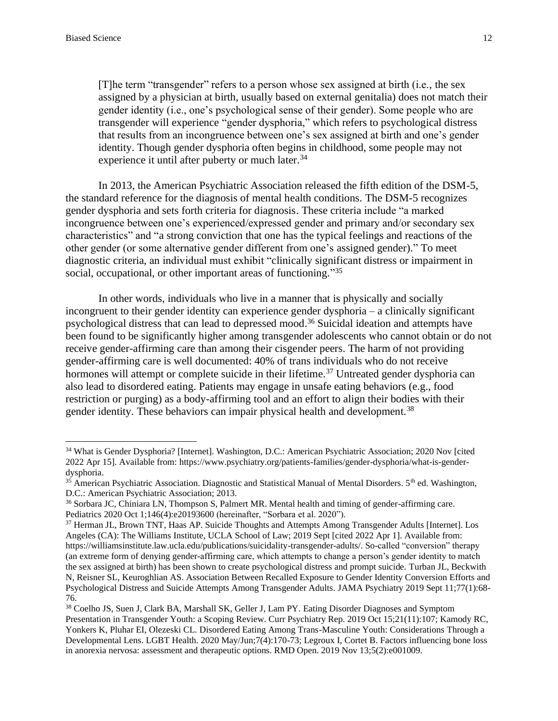[T]he term "transgender" refers to a person whose sex assigned at birth (i.e., the sex assigned by a physician at birth, usually based on external genitalia) does not match their gender identity (i.e., one's psychological sense of their gender). Some people who are transgender will experience "gender dysphoria," which refers to psychological distress that results from an incongruence between one's sex assigned at birth and one's gender identity. Though gender dysphoria often begins in childhood, some people may not experience it until after puberty or much later.<sup>34</sup>

In 2013, the American Psychiatric Association released the fifth edition of the DSM-5, the standard reference for the diagnosis of mental health conditions. The DSM-5 recognizes gender dysphoria and sets forth criteria for diagnosis. These criteria include "a marked incongruence between one's experienced/expressed gender and primary and/or secondary sex characteristics" and "a strong conviction that one has the typical feelings and reactions of the other gender (or some alternative gender different from one's assigned gender)." To meet diagnostic criteria, an individual must exhibit "clinically significant distress or impairment in social, occupational, or other important areas of functioning."35

In other words, individuals who live in a manner that is physically and socially incongruent to their gender identity can experience gender dysphoria – a clinically significant psychological distress that can lead to depressed mood. <sup>36</sup> Suicidal ideation and attempts have been found to be significantly higher among transgender adolescents who cannot obtain or do not receive gender-affirming care than among their cisgender peers. The harm of not providing gender-affirming care is well documented: 40% of trans individuals who do not receive hormones will attempt or complete suicide in their lifetime.<sup>37</sup> Untreated gender dysphoria can also lead to disordered eating. Patients may engage in unsafe eating behaviors (e.g., food restriction or purging) as a body-affirming tool and an effort to align their bodies with their gender identity. These behaviors can impair physical health and development.<sup>38</sup>

<sup>34</sup> What is Gender Dysphoria? [Internet]. Washington, D.C.: American Psychiatric Association; 2020 Nov [cited 2022 Apr 15]. Available from: [https://www.psychiatry.org/patients-families/gender-dysphoria/what-is-gender](https://www.psychiatry.org/patients-families/gender-dysphoria/what-is-gender-dysphoria)[dysphoria.](https://www.psychiatry.org/patients-families/gender-dysphoria/what-is-gender-dysphoria)

 $35$  American Psychiatric Association. Diagnostic and Statistical Manual of Mental Disorders.  $5<sup>th</sup>$  ed. Washington, D.C.: American Psychiatric Association; 2013.

<sup>36</sup> Sorbara JC, Chiniara LN, Thompson S, Palmert MR. Mental health and timing of gender-affirming care. Pediatrics 2020 Oct 1;146(4):e20193600 (hereinafter, "Sorbara et al. 2020").

<sup>37</sup> Herman JL, Brown TNT, Haas AP. Suicide Thoughts and Attempts Among Transgender Adults [Internet]. Los Angeles (CA): The Williams Institute, UCLA School of Law; 2019 Sept [cited 2022 Apr 1]. Available from: [https://williamsinstitute.law.ucla.edu/publications/suicidality-transgender-adults/.](https://williamsinstitute.law.ucla.edu/publications/suicidality-transgender-adults/) So-called "conversion" therapy (an extreme form of denying gender-affirming care, which attempts to change a person's gender identity to match the sex assigned at birth) has been shown to create psychological distress and prompt suicide. Turban JL, Beckwith N, Reisner SL, Keuroghlian AS. Association Between Recalled Exposure to Gender Identity Conversion Efforts and Psychological Distress and Suicide Attempts Among Transgender Adults. JAMA Psychiatry 2019 Sept 11;77(1):68- 76.

<sup>38</sup> Coelho JS, Suen J, Clark BA, Marshall SK, Geller J, Lam PY. Eating Disorder Diagnoses and Symptom Presentation in Transgender Youth: a Scoping Review. Curr Psychiatry Rep. 2019 Oct 15;21(11):107; Kamody RC, Yonkers K, Pluhar EI, Olezeski CL. Disordered Eating Among Trans-Masculine Youth: Considerations Through a Developmental Lens. LGBT Health. 2020 May/Jun;7(4):170-73; Legroux I, Cortet B. Factors influencing bone loss in anorexia nervosa: assessment and therapeutic options. RMD Open. 2019 Nov 13;5(2):e001009.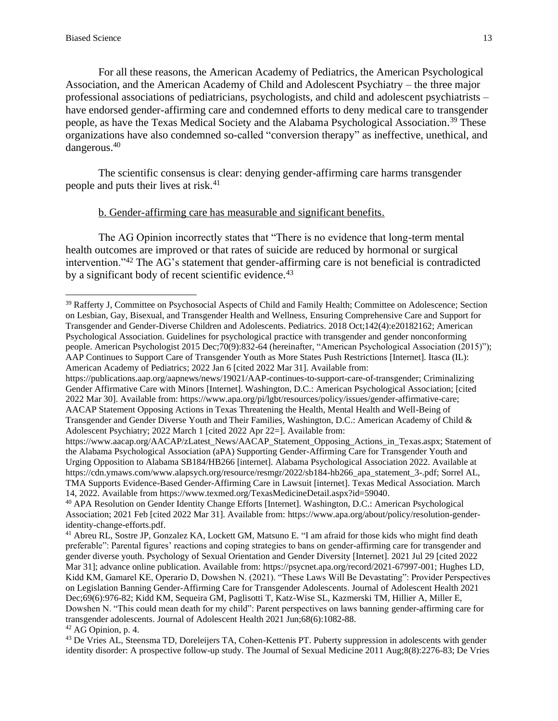For all these reasons, the American Academy of Pediatrics, the American Psychological Association, and the American Academy of Child and Adolescent Psychiatry – the three major professional associations of pediatricians, psychologists, and child and adolescent psychiatrists – have endorsed gender-affirming care and condemned efforts to deny medical care to transgender people, as have the Texas Medical Society and the Alabama Psychological Association.<sup>39</sup> These organizations have also condemned so-called "conversion therapy" as ineffective, unethical, and dangerous.<sup>40</sup>

The scientific consensus is clear: denying gender-affirming care harms transgender people and puts their lives at risk.<sup>41</sup>

#### b. Gender-affirming care has measurable and significant benefits.

<span id="page-12-0"></span>The AG Opinion incorrectly states that "There is no evidence that long-term mental health outcomes are improved or that rates of suicide are reduced by hormonal or surgical intervention."<sup>42</sup> The AG's statement that gender-affirming care is not beneficial is contradicted by a significant body of recent scientific evidence.<sup>43</sup>

<sup>39</sup> Rafferty J, Committee on Psychosocial Aspects of Child and Family Health; Committee on Adolescence; Section on Lesbian, Gay, Bisexual, and Transgender Health and Wellness, Ensuring Comprehensive Care and Support for Transgender and Gender-Diverse Children and Adolescents. Pediatrics. 2018 Oct;142(4):e20182162; American Psychological Association. Guidelines for psychological practice with transgender and gender nonconforming people. American Psychologist 2015 Dec;70(9):832-64 (hereinafter, "American Psychological Association (2015)"); AAP Continues to Support Care of Transgender Youth as More States Push Restrictions [Internet]. Itasca (IL): American Academy of Pediatrics; 2022 Jan 6 [cited 2022 Mar 31]. Available from:

[https://publications.aap.org/aapnews/news/19021/AAP-continues-to-support-care-of-transgender;](https://publications.aap.org/aapnews/news/19021/AAP-continues-to-support-care-of-transgender) Criminalizing Gender Affirmative Care with Minors [Internet]. Washington, D.C.: American Psychological Association; [cited 2022 Mar 30]. Available from: [https://www.apa.org/pi/lgbt/resources/policy/issues/gender-affirmative-care;](https://www.apa.org/pi/lgbt/resources/policy/issues/gender-affirmative-care) AACAP Statement Opposing Actions in Texas Threatening the Health, Mental Health and Well-Being of Transgender and Gender Diverse Youth and Their Families, Washington, D.C.: American Academy of Child & Adolescent Psychiatry; 2022 March 1 [cited 2022 Apr 22=]. Available from:

[https://www.aacap.org/AACAP/zLatest\\_News/AACAP\\_Statement\\_Opposing\\_Actions\\_in\\_Texas.aspx;](https://www.aacap.org/AACAP/zLatest_News/AACAP_Statement_Opposing_Actions_in_Texas.aspx) Statement of the Alabama Psychological Association (aPA) Supporting Gender-Affirming Care for Transgender Youth and Urging Opposition to Alabama SB184/HB266 [internet]. Alabama Psychological Association 2022. Available at [https://cdn.ymaws.com/www.alapsych.org/resource/resmgr/2022/sb184-hb266\\_apa\\_statement\\_3-.pdf;](https://cdn.ymaws.com/www.alapsych.org/resource/resmgr/2022/sb184-hb266_apa_statement_3-.pdf) Sorrel AL, TMA Supports Evidence-Based Gender-Affirming Care in Lawsuit [internet]. Texas Medical Association. March 14, 2022. Available from [https://www.texmed.org/TexasMedicineDetail.aspx?id=59040.](https://www.texmed.org/TexasMedicineDetail.aspx?id=59040)

<sup>40</sup> APA Resolution on Gender Identity Change Efforts [Internet]. Washington, D.C.: American Psychological Association; 2021 Feb [cited 2022 Mar 31]. Available from: [https://www.apa.org/about/policy/resolution-gender](https://www.apa.org/about/policy/resolution-gender-identity-change-efforts.pdf)[identity-change-efforts.pdf.](https://www.apa.org/about/policy/resolution-gender-identity-change-efforts.pdf)

<sup>41</sup> Abreu RL, Sostre JP, Gonzalez KA, Lockett GM, Matsuno E. "I am afraid for those kids who might find death preferable": Parental figures' reactions and coping strategies to bans on gender-affirming care for transgender and gender diverse youth. Psychology of Sexual Orientation and Gender Diversity [Internet]. 2021 Jul 29 [cited 2022 Mar 31]; advance online publication. Available from[: https://psycnet.apa.org/record/2021-67997-001;](https://psycnet.apa.org/record/2021-67997-001) Hughes LD, Kidd KM, Gamarel KE, Operario D, Dowshen N. (2021). "These Laws Will Be Devastating": Provider Perspectives on Legislation Banning Gender-Affirming Care for Transgender Adolescents. Journal of Adolescent Health 2021 Dec;69(6):976-82; Kidd KM, Sequeira GM, Paglisotti T, Katz-Wise SL, Kazmerski TM, Hillier A, Miller E, Dowshen N. "This could mean death for my child": Parent perspectives on laws banning gender-affirming care for transgender adolescents. Journal of Adolescent Health 2021 Jun;68(6):1082-88.

<sup>42</sup> AG Opinion, p. 4.

<sup>&</sup>lt;sup>43</sup> De Vries AL, Steensma TD, Doreleijers TA, Cohen-Kettenis PT. Puberty suppression in adolescents with gender identity disorder: A prospective follow-up study. The Journal of Sexual Medicine 2011 Aug;8(8):2276-83; De Vries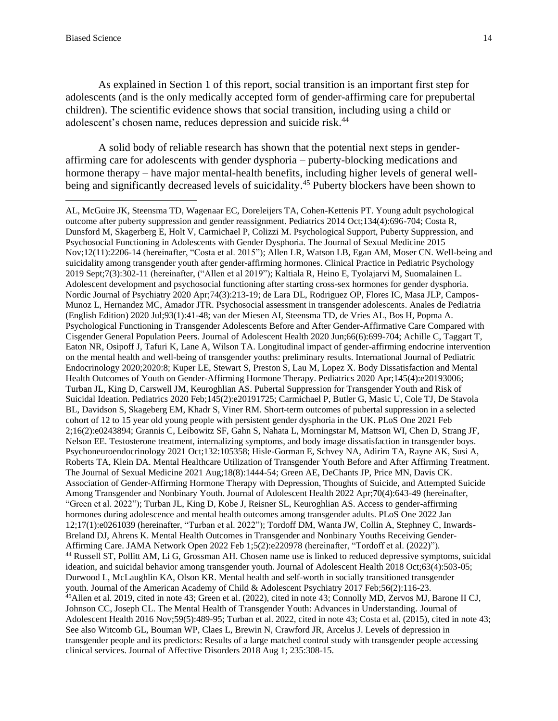As explained in Section 1 of this report, social transition is an important first step for adolescents (and is the only medically accepted form of gender-affirming care for prepubertal children). The scientific evidence shows that social transition, including using a child or adolescent's chosen name, reduces depression and suicide risk.<sup>44</sup>

A solid body of reliable research has shown that the potential next steps in genderaffirming care for adolescents with gender dysphoria – puberty-blocking medications and hormone therapy – have major mental-health benefits, including higher levels of general wellbeing and significantly decreased levels of suicidality.<sup>45</sup> Puberty blockers have been shown to

AL, McGuire JK, Steensma TD, Wagenaar EC, Doreleijers TA, Cohen-Kettenis PT. Young adult psychological outcome after puberty suppression and gender reassignment. Pediatrics 2014 Oct;134(4):696-704; Costa R, Dunsford M, Skagerberg E, Holt V, Carmichael P, Colizzi M. Psychological Support, Puberty Suppression, and Psychosocial Functioning in Adolescents with Gender Dysphoria. The Journal of Sexual Medicine 2015 Nov;12(11):2206-14 (hereinafter, "Costa et al. 2015"); Allen LR, Watson LB, Egan AM, Moser CN. Well-being and suicidality among transgender youth after gender-affirming hormones. Clinical Practice in Pediatric Psychology 2019 Sept;7(3):302-11 (hereinafter, ("Allen et al 2019"); Kaltiala R, Heino E, Tyolajarvi M, Suomalainen L. Adolescent development and psychosocial functioning after starting cross-sex hormones for gender dysphoria. Nordic Journal of Psychiatry 2020 Apr;74(3):213-19; de Lara DL, Rodriguez OP, Flores IC, Masa JLP, Campos-Munoz L, Hernandez MC, Amador JTR. Psychosocial assessment in transgender adolescents. Anales de Pediatria (English Edition) 2020 Jul;93(1):41-48; van der Miesen AI, Steensma TD, de Vries AL, Bos H, Popma A. Psychological Functioning in Transgender Adolescents Before and After Gender-Affirmative Care Compared with Cisgender General Population Peers. Journal of Adolescent Health 2020 Jun;66(6):699-704; Achille C, Taggart T, Eaton NR, Osipoff J, Tafuri K, Lane A, Wilson TA. Longitudinal impact of gender-affirming endocrine intervention on the mental health and well-being of transgender youths: preliminary results. International Journal of Pediatric Endocrinology 2020;2020:8; Kuper LE, Stewart S, Preston S, Lau M, Lopez X. Body Dissatisfaction and Mental Health Outcomes of Youth on Gender-Affirming Hormone Therapy. Pediatrics 2020 Apr;145(4):e20193006; Turban JL, King D, Carswell JM, Keuroghlian AS. Pubertal Suppression for Transgender Youth and Risk of Suicidal Ideation. Pediatrics 2020 Feb;145(2):e20191725; Carmichael P, Butler G, Masic U, Cole TJ, De Stavola BL, Davidson S, Skageberg EM, Khadr S, Viner RM. Short-term outcomes of pubertal suppression in a selected cohort of 12 to 15 year old young people with persistent gender dysphoria in the UK. PLoS One 2021 Feb 2;16(2):e0243894; Grannis C, Leibowitz SF, Gahn S, Nahata L, Morningstar M, Mattson WI, Chen D, Strang JF, Nelson EE. Testosterone treatment, internalizing symptoms, and body image dissatisfaction in transgender boys. Psychoneuroendocrinology 2021 Oct;132:105358; Hisle-Gorman E, Schvey NA, Adirim TA, Rayne AK, Susi A, Roberts TA, Klein DA. Mental Healthcare Utilization of Transgender Youth Before and After Affirming Treatment. The Journal of Sexual Medicine 2021 Aug;18(8):1444-54; Green AE, DeChants JP, Price MN, Davis CK. Association of Gender-Affirming Hormone Therapy with Depression, Thoughts of Suicide, and Attempted Suicide Among Transgender and Nonbinary Youth. Journal of Adolescent Health 2022 Apr;70(4):643-49 (hereinafter, "Green et al. 2022"); Turban JL, King D, Kobe J, Reisner SL, Keuroghlian AS. Access to gender-affirming hormones during adolescence and mental health outcomes among transgender adults. PLoS One 2022 Jan 12;17(1):e0261039 (hereinafter, "Turban et al. 2022"); Tordoff DM, Wanta JW, Collin A, Stephney C, Inwards-Breland DJ, Ahrens K. Mental Health Outcomes in Transgender and Nonbinary Youths Receiving Gender-Affirming Care. JAMA Network Open 2022 Feb 1;5(2):e220978 (hereinafter, "Tordoff et al. (2022)"). <sup>44</sup> Russell ST, Pollitt AM, Li G, Grossman AH. Chosen name use is linked to reduced depressive symptoms, suicidal ideation, and suicidal behavior among transgender youth. Journal of Adolescent Health 2018 Oct;63(4):503-05; Durwood L, McLaughlin KA, Olson KR. Mental health and self-worth in socially transitioned transgender youth. Journal of the American Academy of Child & Adolescent Psychiatry 2017 Feb;56(2):116-23. <sup>45</sup>Allen et al. 2019, cited in note 43; Green et al. (2022), cited in note 43; Connolly MD, Zervos MJ, Barone II CJ, Johnson CC, Joseph CL. The Mental Health of Transgender Youth: Advances in Understanding. Journal of Adolescent Health 2016 Nov;59(5):489-95; Turban et al. 2022, cited in note 43; Costa et al. (2015), cited in note 43; See also Witcomb GL, Bouman WP, Claes L, Brewin N, Crawford JR, Arcelus J. Levels of depression in transgender people and its predictors: Results of a large matched control study with transgender people accessing clinical services. Journal of Affective Disorders 2018 Aug 1; 235:308-15.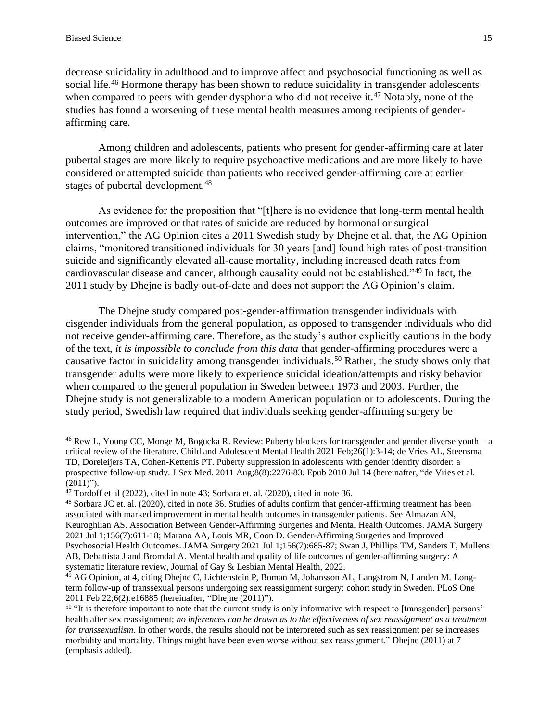decrease suicidality in adulthood and to improve affect and psychosocial functioning as well as social life.<sup>46</sup> Hormone therapy has been shown to reduce suicidality in transgender adolescents when compared to peers with gender dysphoria who did not receive it.<sup>47</sup> Notably, none of the studies has found a worsening of these mental health measures among recipients of genderaffirming care.

Among children and adolescents, patients who present for gender-affirming care at later pubertal stages are more likely to require psychoactive medications and are more likely to have considered or attempted suicide than patients who received gender-affirming care at earlier stages of pubertal development.<sup>48</sup>

As evidence for the proposition that "[t]here is no evidence that long-term mental health outcomes are improved or that rates of suicide are reduced by hormonal or surgical intervention," the AG Opinion cites a 2011 Swedish study by Dhejne et al. that, the AG Opinion claims, "monitored transitioned individuals for 30 years [and] found high rates of post-transition suicide and significantly elevated all-cause mortality, including increased death rates from cardiovascular disease and cancer, although causality could not be established."<sup>49</sup> In fact, the 2011 study by Dhejne is badly out-of-date and does not support the AG Opinion's claim.

The Dhejne study compared post-gender-affirmation transgender individuals with cisgender individuals from the general population, as opposed to transgender individuals who did not receive gender-affirming care. Therefore, as the study's author explicitly cautions in the body of the text, *it is impossible to conclude from this data* that gender-affirming procedures were a causative factor in suicidality among transgender individuals.<sup>50</sup> Rather, the study shows only that transgender adults were more likely to experience suicidal ideation/attempts and risky behavior when compared to the general population in Sweden between 1973 and 2003. Further, the Dhejne study is not generalizable to a modern American population or to adolescents. During the study period, Swedish law required that individuals seeking gender-affirming surgery be

<sup>46</sup> Rew L, Young CC, Monge M, Bogucka R. Review: Puberty blockers for transgender and gender diverse youth – a critical review of the literature. Child and Adolescent Mental Health 2021 Feb;26(1):3-14; de Vries AL, Steensma TD, Doreleijers TA, Cohen-Kettenis PT. Puberty suppression in adolescents with gender identity disorder: a prospective follow-up study. J Sex Med. 2011 Aug;8(8):2276-83. Epub 2010 Jul 14 (hereinafter, "de Vries et al.  $(2011)$ ").

<sup>47</sup> Tordoff et al (2022), cited in note 43; Sorbara et. al. (2020), cited in note 36.

<sup>48</sup> Sorbara JC et. al. (2020), cited in note 36. Studies of adults confirm that gender-affirming treatment has been associated with marked improvement in mental health outcomes in transgender patients. See Almazan AN, Keuroghlian AS. Association Between Gender-Affirming Surgeries and Mental Health Outcomes. JAMA Surgery 2021 Jul 1;156(7):611-18; Marano AA, Louis MR, Coon D. Gender-Affirming Surgeries and Improved Psychosocial Health Outcomes. JAMA Surgery 2021 Jul 1;156(7):685-87; Swan J, Phillips TM, Sanders T, Mullens AB, Debattista J and Bromdal A. Mental health and quality of life outcomes of gender-affirming surgery: A systematic literature review, Journal of Gay & Lesbian Mental Health, 2022.

<sup>&</sup>lt;sup>49</sup> AG Opinion, at 4, citing Dhejne C, Lichtenstein P, Boman M, Johansson AL, Langstrom N, Landen M. Longterm follow-up of transsexual persons undergoing sex reassignment surgery: cohort study in Sweden. PLoS One 2011 Feb 22;6(2):e16885 (hereinafter, "Dhejne (2011)").

<sup>&</sup>lt;sup>50</sup> "It is therefore important to note that the current study is only informative with respect to [transgender] persons' health after sex reassignment; *no inferences can be drawn as to the effectiveness of sex reassignment as a treatment for transsexualism*. In other words, the results should not be interpreted such as sex reassignment per se increases morbidity and mortality. Things might have been even worse without sex reassignment." Dhejne (2011) at 7 (emphasis added).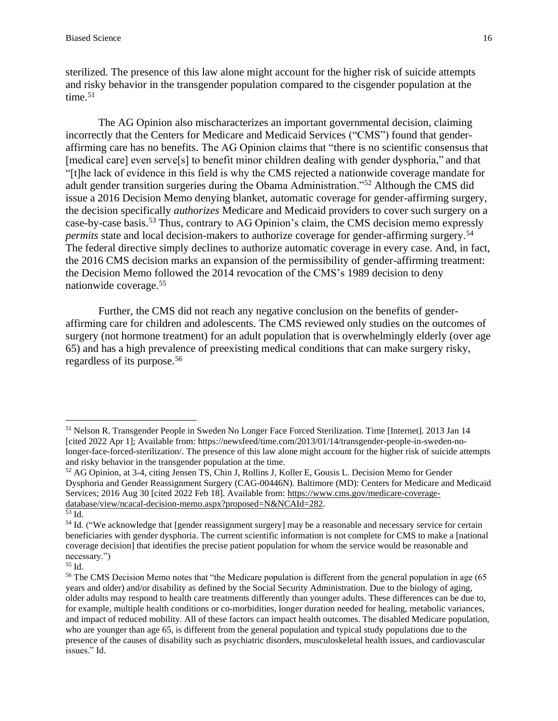sterilized. The presence of this law alone might account for the higher risk of suicide attempts and risky behavior in the transgender population compared to the cisgender population at the  $time<sup>51</sup>$ 

The AG Opinion also mischaracterizes an important governmental decision, claiming incorrectly that the Centers for Medicare and Medicaid Services ("CMS") found that genderaffirming care has no benefits. The AG Opinion claims that "there is no scientific consensus that [medical care] even serve<sup>[s]</sup> to benefit minor children dealing with gender dysphoria," and that "[t]he lack of evidence in this field is why the CMS rejected a nationwide coverage mandate for adult gender transition surgeries during the Obama Administration."<sup>52</sup> Although the CMS did issue a 2016 Decision Memo denying blanket, automatic coverage for gender-affirming surgery, the decision specifically *authorizes* Medicare and Medicaid providers to cover such surgery on a case-by-case basis.<sup>53</sup> Thus, contrary to AG Opinion's claim, the CMS decision memo expressly *permits* state and local decision-makers to authorize coverage for gender-affirming surgery.<sup>54</sup> The federal directive simply declines to authorize automatic coverage in every case. And, in fact, the 2016 CMS decision marks an expansion of the permissibility of gender-affirming treatment: the Decision Memo followed the 2014 revocation of the CMS's 1989 decision to deny nationwide coverage.<sup>55</sup>

Further, the CMS did not reach any negative conclusion on the benefits of genderaffirming care for children and adolescents. The CMS reviewed only studies on the outcomes of surgery (not hormone treatment) for an adult population that is overwhelmingly elderly (over age 65) and has a high prevalence of preexisting medical conditions that can make surgery risky, regardless of its purpose.<sup>56</sup>

<sup>51</sup> Nelson R. Transgender People in Sweden No Longer Face Forced Sterilization. Time [Internet]. 2013 Jan 14 [cited 2022 Apr 1]; Available from: [https://newsfeed/time.com/2013/01/14/transgender-people-in-sweden-no](https://newsfeed/time.com/2013/01/14/transgender-people-in-sweden-no-longer-face-forced-sterilization/)[longer-face-forced-sterilization/.](https://newsfeed/time.com/2013/01/14/transgender-people-in-sweden-no-longer-face-forced-sterilization/) The presence of this law alone might account for the higher risk of suicide attempts and risky behavior in the transgender population at the time.

<sup>52</sup> AG Opinion, at 3-4, citing Jensen TS, Chin J, Rollins J, Koller E, Gousis L. Decision Memo for Gender Dysphoria and Gender Reassignment Surgery (CAG-00446N). Baltimore (MD): Centers for Medicare and Medicaid Services; 2016 Aug 30 [cited 2022 Feb 18]. Available from: [https://www.cms.gov/medicare-coverage](https://www.cms.gov/medicare-coverage-database/view/ncacal-decision-memo.aspx?proposed=N&NCAId=282)[database/view/ncacal-decision-memo.aspx?proposed=N&NCAId=282.](https://www.cms.gov/medicare-coverage-database/view/ncacal-decision-memo.aspx?proposed=N&NCAId=282)

<sup>53</sup> Id.

<sup>&</sup>lt;sup>54</sup> Id. ("We acknowledge that [gender reassignment surgery] may be a reasonable and necessary service for certain beneficiaries with gender dysphoria. The current scientific information is not complete for CMS to make a [national coverage decision] that identifies the precise patient population for whom the service would be reasonable and necessary.")

<sup>55</sup> Id.

<sup>&</sup>lt;sup>56</sup> The CMS Decision Memo notes that "the Medicare population is different from the general population in age (65) years and older) and/or disability as defined by the Social Security Administration. Due to the biology of aging, older adults may respond to health care treatments differently than younger adults. These differences can be due to, for example, multiple health conditions or co-morbidities, longer duration needed for healing, metabolic variances, and impact of reduced mobility. All of these factors can impact health outcomes. The disabled Medicare population, who are younger than age 65, is different from the general population and typical study populations due to the presence of the causes of disability such as psychiatric disorders, musculoskeletal health issues, and cardiovascular issues." Id.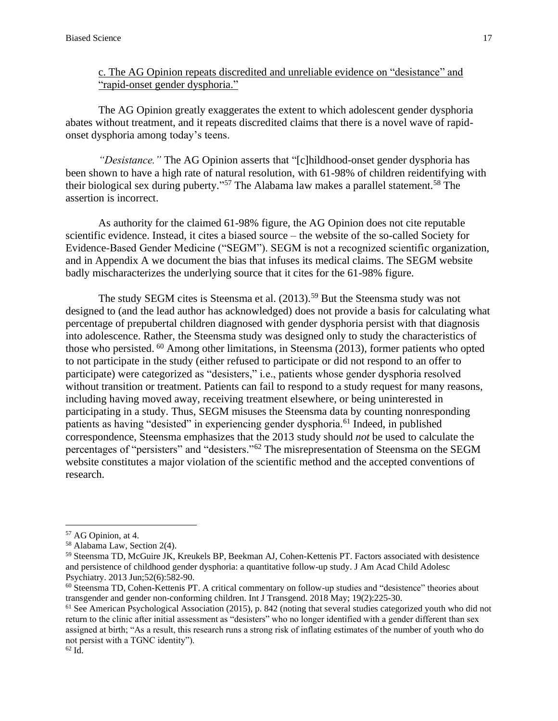# <span id="page-16-0"></span>c. The AG Opinion repeats discredited and unreliable evidence on "desistance" and "rapid-onset gender dysphoria."

The AG Opinion greatly exaggerates the extent to which adolescent gender dysphoria abates without treatment, and it repeats discredited claims that there is a novel wave of rapidonset dysphoria among today's teens.

*"Desistance."* The AG Opinion asserts that "[c]hildhood-onset gender dysphoria has been shown to have a high rate of natural resolution, with 61-98% of children reidentifying with their biological sex during puberty."<sup>57</sup> The Alabama law makes a parallel statement.<sup>58</sup> The assertion is incorrect.

As authority for the claimed 61-98% figure, the AG Opinion does not cite reputable scientific evidence. Instead, it cites a biased source – the website of the so-called Society for Evidence-Based Gender Medicine ("SEGM"). SEGM is not a recognized scientific organization, and in Appendix A we document the bias that infuses its medical claims. The SEGM website badly mischaracterizes the underlying source that it cites for the 61-98% figure.

The study SEGM cites is Steensma et al.  $(2013)$ .<sup>59</sup> But the Steensma study was not designed to (and the lead author has acknowledged) does not provide a basis for calculating what percentage of prepubertal children diagnosed with gender dysphoria persist with that diagnosis into adolescence. Rather, the Steensma study was designed only to study the characteristics of those who persisted. <sup>60</sup> Among other limitations, in Steensma (2013), former patients who opted to not participate in the study (either refused to participate or did not respond to an offer to participate) were categorized as "desisters," i.e., patients whose gender dysphoria resolved without transition or treatment. Patients can fail to respond to a study request for many reasons, including having moved away, receiving treatment elsewhere, or being uninterested in participating in a study. Thus, SEGM misuses the Steensma data by counting nonresponding patients as having "desisted" in experiencing gender dysphoria.<sup>61</sup> Indeed, in published correspondence, Steensma emphasizes that the 2013 study should *not* be used to calculate the percentages of "persisters" and "desisters."<sup>62</sup> The misrepresentation of Steensma on the SEGM website constitutes a major violation of the scientific method and the accepted conventions of research.

<sup>57</sup> AG Opinion, at 4.

<sup>58</sup> Alabama Law, Section 2(4).

<sup>59</sup> Steensma TD, McGuire JK, Kreukels BP, Beekman AJ, Cohen-Kettenis PT. Factors associated with desistence and persistence of childhood gender dysphoria: a quantitative follow-up study. J Am Acad Child Adolesc Psychiatry. 2013 Jun;52(6):582-90.

<sup>60</sup> Steensma TD, Cohen-Kettenis PT. A critical commentary on follow-up studies and "desistence" theories about transgender and gender non-conforming children. Int J Transgend. 2018 May; 19(2):225-30.

 $<sup>61</sup>$  See American Psychological Association (2015), p. 842 (noting that several studies categorized youth who did not</sup> return to the clinic after initial assessment as "desisters" who no longer identified with a gender different than sex assigned at birth; "As a result, this research runs a strong risk of inflating estimates of the number of youth who do not persist with a TGNC identity").  $62$  Id.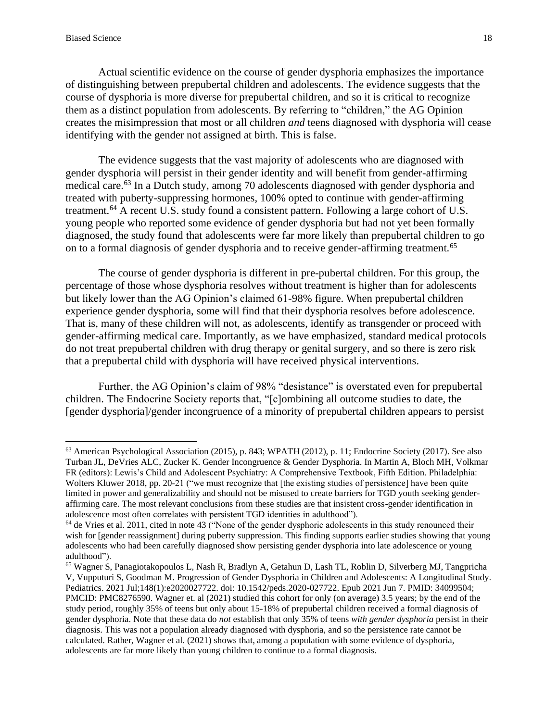Actual scientific evidence on the course of gender dysphoria emphasizes the importance of distinguishing between prepubertal children and adolescents. The evidence suggests that the course of dysphoria is more diverse for prepubertal children, and so it is critical to recognize them as a distinct population from adolescents. By referring to "children," the AG Opinion creates the misimpression that most or all children *and* teens diagnosed with dysphoria will cease identifying with the gender not assigned at birth. This is false.

The evidence suggests that the vast majority of adolescents who are diagnosed with gender dysphoria will persist in their gender identity and will benefit from gender-affirming medical care.<sup>63</sup> In a Dutch study, among 70 adolescents diagnosed with gender dysphoria and treated with puberty-suppressing hormones, 100% opted to continue with gender-affirming treatment.<sup>64</sup> A recent U.S. study found a consistent pattern. Following a large cohort of U.S. young people who reported some evidence of gender dysphoria but had not yet been formally diagnosed, the study found that adolescents were far more likely than prepubertal children to go on to a formal diagnosis of gender dysphoria and to receive gender-affirming treatment.<sup>65</sup>

The course of gender dysphoria is different in pre-pubertal children. For this group, the percentage of those whose dysphoria resolves without treatment is higher than for adolescents but likely lower than the AG Opinion's claimed 61-98% figure. When prepubertal children experience gender dysphoria, some will find that their dysphoria resolves before adolescence. That is, many of these children will not, as adolescents, identify as transgender or proceed with gender-affirming medical care. Importantly, as we have emphasized, standard medical protocols do not treat prepubertal children with drug therapy or genital surgery, and so there is zero risk that a prepubertal child with dysphoria will have received physical interventions.

Further, the AG Opinion's claim of 98% "desistance" is overstated even for prepubertal children. The Endocrine Society reports that, "[c]ombining all outcome studies to date, the [gender dysphoria]/gender incongruence of a minority of prepubertal children appears to persist

<sup>63</sup> American Psychological Association (2015), p. 843; WPATH (2012), p. 11; Endocrine Society (2017). See also Turban JL, DeVries ALC, Zucker K. Gender Incongruence & Gender Dysphoria. In Martin A, Bloch MH, Volkmar FR (editors): Lewis's Child and Adolescent Psychiatry: A Comprehensive Textbook, Fifth Edition. Philadelphia: Wolters Kluwer 2018, pp. 20-21 ("we must recognize that [the existing studies of persistence] have been quite limited in power and generalizability and should not be misused to create barriers for TGD youth seeking genderaffirming care. The most relevant conclusions from these studies are that insistent cross-gender identification in adolescence most often correlates with persistent TGD identities in adulthood").

<sup>64</sup> de Vries et al. 2011, cited in note 43 ("None of the gender dysphoric adolescents in this study renounced their wish for [gender reassignment] during puberty suppression. This finding supports earlier studies showing that young adolescents who had been carefully diagnosed show persisting gender dysphoria into late adolescence or young adulthood").

<sup>65</sup> Wagner S, Panagiotakopoulos L, Nash R, Bradlyn A, Getahun D, Lash TL, Roblin D, Silverberg MJ, Tangpricha V, Vupputuri S, Goodman M. Progression of Gender Dysphoria in Children and Adolescents: A Longitudinal Study. Pediatrics. 2021 Jul;148(1):e2020027722. doi: 10.1542/peds.2020-027722. Epub 2021 Jun 7. PMID: 34099504; PMCID: PMC8276590. Wagner et. al (2021) studied this cohort for only (on average) 3.5 years; by the end of the study period, roughly 35% of teens but only about 15-18% of prepubertal children received a formal diagnosis of gender dysphoria. Note that these data do *not* establish that only 35% of teens *with gender dysphoria* persist in their diagnosis. This was not a population already diagnosed with dysphoria, and so the persistence rate cannot be calculated. Rather, Wagner et al. (2021) shows that, among a population with some evidence of dysphoria, adolescents are far more likely than young children to continue to a formal diagnosis.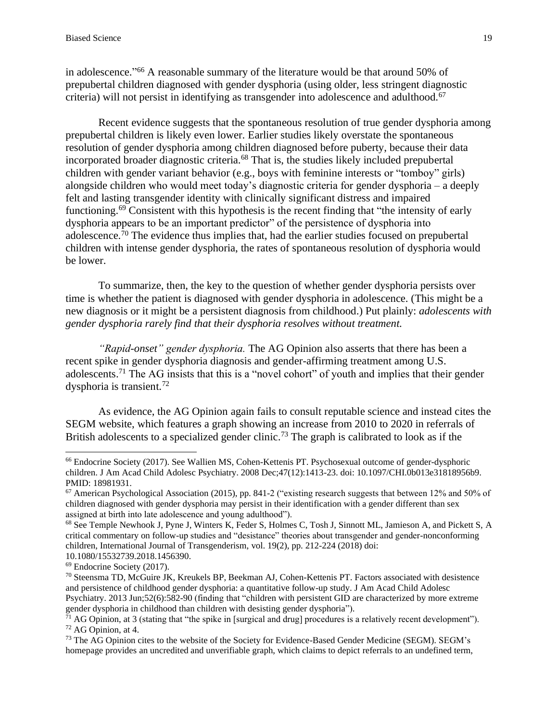in adolescence." <sup>66</sup> A reasonable summary of the literature would be that around 50% of prepubertal children diagnosed with gender dysphoria (using older, less stringent diagnostic criteria) will not persist in identifying as transgender into adolescence and adulthood.<sup>67</sup>

Recent evidence suggests that the spontaneous resolution of true gender dysphoria among prepubertal children is likely even lower. Earlier studies likely overstate the spontaneous resolution of gender dysphoria among children diagnosed before puberty, because their data incorporated broader diagnostic criteria. <sup>68</sup> That is, the studies likely included prepubertal children with gender variant behavior (e.g., boys with feminine interests or "tomboy" girls) alongside children who would meet today's diagnostic criteria for gender dysphoria – a deeply felt and lasting transgender identity with clinically significant distress and impaired functioning.<sup>69</sup> Consistent with this hypothesis is the recent finding that "the intensity of early dysphoria appears to be an important predictor" of the persistence of dysphoria into adolescence.<sup>70</sup> The evidence thus implies that, had the earlier studies focused on prepubertal children with intense gender dysphoria, the rates of spontaneous resolution of dysphoria would be lower.

To summarize, then, the key to the question of whether gender dysphoria persists over time is whether the patient is diagnosed with gender dysphoria in adolescence. (This might be a new diagnosis or it might be a persistent diagnosis from childhood.) Put plainly: *adolescents with gender dysphoria rarely find that their dysphoria resolves without treatment.*

*"Rapid-onset" gender dysphoria.* The AG Opinion also asserts that there has been a recent spike in gender dysphoria diagnosis and gender-affirming treatment among U.S. adolescents.<sup>71</sup> The AG insists that this is a "novel cohort" of youth and implies that their gender dysphoria is transient.<sup>72</sup>

As evidence, the AG Opinion again fails to consult reputable science and instead cites the SEGM website, which features a graph showing an increase from 2010 to 2020 in referrals of British adolescents to a specialized gender clinic.<sup>73</sup> The graph is calibrated to look as if the

<sup>66</sup> Endocrine Society (2017). See Wallien MS, Cohen-Kettenis PT. Psychosexual outcome of gender-dysphoric children. J Am Acad Child Adolesc Psychiatry. 2008 Dec;47(12):1413-23. doi: 10.1097/CHI.0b013e31818956b9. PMID: 18981931.

<sup>67</sup> American Psychological Association (2015), pp. 841-2 ("existing research suggests that between 12% and 50% of children diagnosed with gender dysphoria may persist in their identification with a gender different than sex assigned at birth into late adolescence and young adulthood").

<sup>&</sup>lt;sup>68</sup> See Temple Newhook J, Pyne J, Winters K, Feder S, Holmes C, Tosh J, Sinnott ML, Jamieson A, and Pickett S, A critical commentary on follow-up studies and "desistance" theories about transgender and gender-nonconforming children, International Journal of Transgenderism, vol. 19(2), pp. 212-224 (2018) doi: [10.1080/15532739.2018.1456390.](https://doi.org/10.1080/15532739.2018.1456390)

<sup>69</sup> Endocrine Society (2017).

<sup>70</sup> Steensma TD, McGuire JK, Kreukels BP, Beekman AJ, Cohen-Kettenis PT. Factors associated with desistence and persistence of childhood gender dysphoria: a quantitative follow-up study. J Am Acad Child Adolesc Psychiatry. 2013 Jun;52(6):582-90 (finding that "children with persistent GID are characterized by more extreme gender dysphoria in childhood than children with desisting gender dysphoria").

 $71$  AG Opinion, at 3 (stating that "the spike in [surgical and drug] procedures is a relatively recent development"). <sup>72</sup> AG Opinion, at 4.

<sup>&</sup>lt;sup>73</sup> The AG Opinion cites to the website of the Society for Evidence-Based Gender Medicine (SEGM). SEGM's homepage provides an uncredited and unverifiable graph, which claims to depict referrals to an undefined term,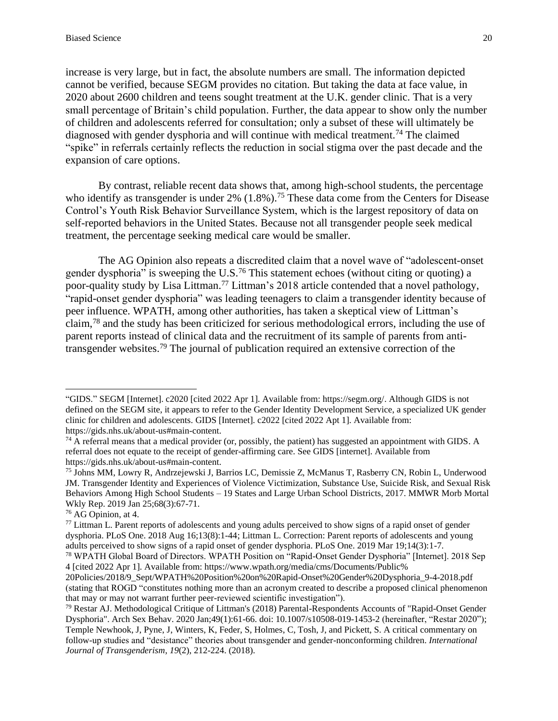increase is very large, but in fact, the absolute numbers are small. The information depicted cannot be verified, because SEGM provides no citation. But taking the data at face value, in 2020 about 2600 children and teens sought treatment at the U.K. gender clinic. That is a very small percentage of Britain's child population. Further, the data appear to show only the number of children and adolescents referred for consultation; only a subset of these will ultimately be diagnosed with gender dysphoria and will continue with medical treatment. <sup>74</sup> The claimed "spike" in referrals certainly reflects the reduction in social stigma over the past decade and the expansion of care options.

By contrast, reliable recent data shows that, among high-school students, the percentage who identify as transgender is under 2% (1.8%).<sup>75</sup> These data come from the Centers for Disease Control's Youth Risk Behavior Surveillance System, which is the largest repository of data on self-reported behaviors in the United States. Because not all transgender people seek medical treatment, the percentage seeking medical care would be smaller.

The AG Opinion also repeats a discredited claim that a novel wave of "adolescent-onset gender dysphoria" is sweeping the U.S.<sup>76</sup> This statement echoes (without citing or quoting) a poor-quality study by Lisa Littman.<sup>77</sup> Littman's 2018 article contended that a novel pathology, "rapid-onset gender dysphoria" was leading teenagers to claim a transgender identity because of peer influence. WPATH, among other authorities, has taken a skeptical view of Littman's claim,<sup>78</sup> and the study has been criticized for serious methodological errors, including the use of parent reports instead of clinical data and the recruitment of its sample of parents from antitransgender websites.<sup>79</sup> The journal of publication required an extensive correction of the

<sup>&</sup>quot;GIDS." SEGM [Internet]. c2020 [cited 2022 Apr 1]. Available from: https://segm.org/. Although GIDS is not defined on the SEGM site, it appears to refer to the Gender Identity Development Service, a specialized UK gender clinic for children and adolescents. GIDS [Internet]. c2022 [cited 2022 Apt 1]. Available from: [https://gids.nhs.uk/about-us#main-content.](https://gids.nhs.uk/about-us#main-content)

<sup>&</sup>lt;sup>74</sup> A referral means that a medical provider (or, possibly, the patient) has suggested an appointment with GIDS. A referral does not equate to the receipt of gender-affirming care. See GIDS [internet]. Available from [https://gids.nhs.uk/about-us#main-content.](https://gids.nhs.uk/about-us#main-content)

<sup>75</sup> Johns MM, Lowry R, Andrzejewski J, Barrios LC, Demissie Z, McManus T, Rasberry CN, Robin L, Underwood JM. Transgender Identity and Experiences of Violence Victimization, Substance Use, Suicide Risk, and Sexual Risk Behaviors Among High School Students – 19 States and Large Urban School Districts, 2017. MMWR Morb Mortal Wkly Rep. 2019 Jan 25;68(3):67-71.

<sup>76</sup> AG Opinion, at 4.

<sup>&</sup>lt;sup>77</sup> Littman L. Parent reports of adolescents and young adults perceived to show signs of a rapid onset of gender dysphoria. PLoS One. 2018 Aug 16;13(8):1-44; Littman L. Correction: Parent reports of adolescents and young adults perceived to show signs of a rapid onset of gender dysphoria. PLoS One. 2019 Mar 19;14(3):1-7.

<sup>78</sup> WPATH Global Board of Directors. WPATH Position on "Rapid-Onset Gender Dysphoria" [Internet]. 2018 Sep 4 [cited 2022 Apr 1]. Available from: https://www.wpath.org/media/cms/Documents/Public%

<sup>20</sup>Policies/2018/9\_Sept/WPATH%20Position%20on%20Rapid-Onset%20Gender%20Dysphoria\_9-4-2018.pdf (stating that ROGD "constitutes nothing more than an acronym created to describe a proposed clinical phenomenon that may or may not warrant further peer-reviewed scientific investigation").

<sup>79</sup> Restar AJ. Methodological Critique of Littman's (2018) Parental-Respondents Accounts of "Rapid-Onset Gender Dysphoria". Arch Sex Behav. 2020 Jan;49(1):61-66. doi: 10.1007/s10508-019-1453-2 (hereinafter, "Restar 2020"); Temple Newhook, J, Pyne, J, Winters, K, Feder, S, Holmes, C, Tosh, J, and Pickett, S. A critical commentary on follow-up studies and "desistance" theories about transgender and gender-nonconforming children. *International Journal of Transgenderism*, *19*(2), 212-224. (2018).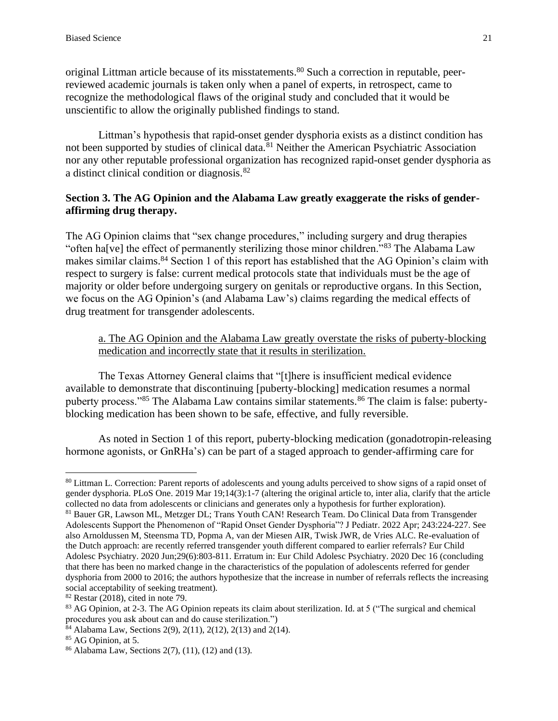original Littman article because of its misstatements. <sup>80</sup> Such a correction in reputable, peerreviewed academic journals is taken only when a panel of experts, in retrospect, came to recognize the methodological flaws of the original study and concluded that it would be unscientific to allow the originally published findings to stand.

Littman's hypothesis that rapid-onset gender dysphoria exists as a distinct condition has not been supported by studies of clinical data.<sup>81</sup> Neither the American Psychiatric Association nor any other reputable professional organization has recognized rapid-onset gender dysphoria as a distinct clinical condition or diagnosis.<sup>82</sup>

# <span id="page-20-0"></span>**Section 3. The AG Opinion and the Alabama Law greatly exaggerate the risks of genderaffirming drug therapy.**

The AG Opinion claims that "sex change procedures," including surgery and drug therapies "often ha[ve] the effect of permanently sterilizing those minor children."<sup>83</sup> The Alabama Law makes similar claims.<sup>84</sup> Section 1 of this report has established that the AG Opinion's claim with respect to surgery is false: current medical protocols state that individuals must be the age of majority or older before undergoing surgery on genitals or reproductive organs. In this Section, we focus on the AG Opinion's (and Alabama Law's) claims regarding the medical effects of drug treatment for transgender adolescents.

# <span id="page-20-1"></span>a. The AG Opinion and the Alabama Law greatly overstate the risks of puberty-blocking medication and incorrectly state that it results in sterilization.

The Texas Attorney General claims that "[t]here is insufficient medical evidence available to demonstrate that discontinuing [puberty-blocking] medication resumes a normal puberty process."<sup>85</sup> The Alabama Law contains similar statements.<sup>86</sup> The claim is false: pubertyblocking medication has been shown to be safe, effective, and fully reversible.

As noted in Section 1 of this report, puberty-blocking medication (gonadotropin-releasing hormone agonists, or GnRHa's) can be part of a staged approach to gender-affirming care for

<sup>&</sup>lt;sup>80</sup> Littman L. Correction: Parent reports of adolescents and young adults perceived to show signs of a rapid onset of gender dysphoria. PLoS One. 2019 Mar 19;14(3):1-7 (altering the original article to, inter alia, clarify that the article collected no data from adolescents or clinicians and generates only a hypothesis for further exploration).

<sup>81</sup> Bauer GR, Lawson ML, Metzger DL; Trans Youth CAN! Research Team. Do Clinical Data from Transgender Adolescents Support the Phenomenon of "Rapid Onset Gender Dysphoria"? J Pediatr. 2022 Apr; 243:224-227. See also Arnoldussen M, Steensma TD, Popma A, van der Miesen AIR, Twisk JWR, de Vries ALC. Re-evaluation of the Dutch approach: are recently referred transgender youth different compared to earlier referrals? Eur Child Adolesc Psychiatry. 2020 Jun;29(6):803-811. Erratum in: Eur Child Adolesc Psychiatry. 2020 Dec 16 (concluding that there has been no marked change in the characteristics of the population of adolescents referred for gender dysphoria from 2000 to 2016; the authors hypothesize that the increase in number of referrals reflects the increasing social acceptability of seeking treatment).

<sup>82</sup> Restar (2018), cited in note 79.

<sup>&</sup>lt;sup>83</sup> AG Opinion, at 2-3. The AG Opinion repeats its claim about sterilization. Id. at 5 ("The surgical and chemical procedures you ask about can and do cause sterilization.")

<sup>84</sup> Alabama Law, Sections 2(9), 2(11), 2(12), 2(13) and 2(14).

<sup>85</sup> AG Opinion, at 5.

 $86$  Alabama Law, Sections 2(7), (11), (12) and (13).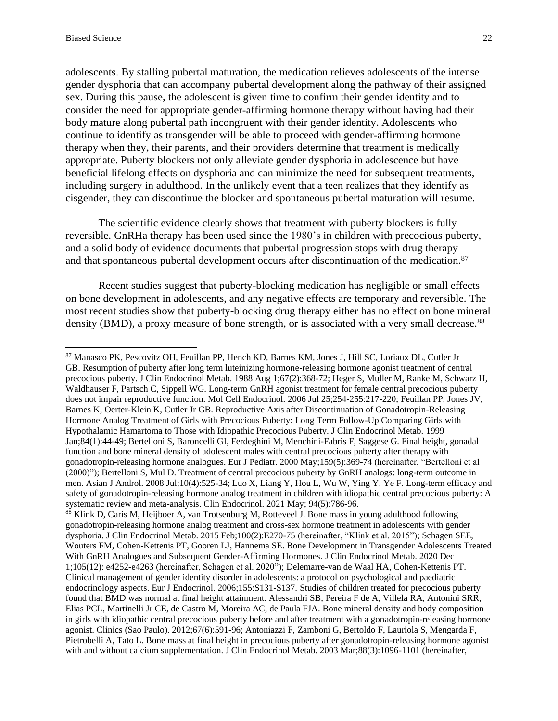adolescents. By stalling pubertal maturation, the medication relieves adolescents of the intense gender dysphoria that can accompany pubertal development along the pathway of their assigned sex. During this pause, the adolescent is given time to confirm their gender identity and to consider the need for appropriate gender-affirming hormone therapy without having had their body mature along pubertal path incongruent with their gender identity. Adolescents who continue to identify as transgender will be able to proceed with gender-affirming hormone therapy when they, their parents, and their providers determine that treatment is medically appropriate. Puberty blockers not only alleviate gender dysphoria in adolescence but have beneficial lifelong effects on dysphoria and can minimize the need for subsequent treatments, including surgery in adulthood. In the unlikely event that a teen realizes that they identify as cisgender, they can discontinue the blocker and spontaneous pubertal maturation will resume.

The scientific evidence clearly shows that treatment with puberty blockers is fully reversible. GnRHa therapy has been used since the 1980's in children with precocious puberty, and a solid body of evidence documents that pubertal progression stops with drug therapy and that spontaneous pubertal development occurs after discontinuation of the medication.<sup>87</sup>

Recent studies suggest that puberty-blocking medication has negligible or small effects on bone development in adolescents, and any negative effects are temporary and reversible. The most recent studies show that puberty-blocking drug therapy either has no effect on bone mineral density (BMD), a proxy measure of bone strength, or is associated with a very small decrease.<sup>88</sup>

<sup>88</sup> Klink D, Caris M, Heijboer A, van Trotsenburg M, Rotteveel J. Bone mass in young adulthood following gonadotropin-releasing hormone analog treatment and cross-sex hormone treatment in adolescents with gender dysphoria. J Clin Endocrinol Metab. 2015 Feb;100(2):E270-75 (hereinafter, "Klink et al. 2015"); Schagen SEE, Wouters FM, Cohen-Kettenis PT, Gooren LJ, Hannema SE. Bone Development in Transgender Adolescents Treated With GnRH Analogues and Subsequent Gender-Affirming Hormones. J Clin Endocrinol Metab. 2020 Dec 1;105(12): e4252-e4263 (hereinafter, Schagen et al. 2020"); Delemarre-van de Waal HA, Cohen-Kettenis PT. Clinical management of gender identity disorder in adolescents: a protocol on psychological and paediatric endocrinology aspects. Eur J Endocrinol. 2006;155:S131-S137. Studies of children treated for precocious puberty found that BMD was normal at final height attainment. Alessandri SB, Pereira F de A, Villela RA, Antonini SRR, Elias PCL, Martinelli Jr CE, de Castro M, Moreira AC, de Paula FJA. Bone mineral density and body composition in girls with idiopathic central precocious puberty before and after treatment with a gonadotropin-releasing hormone agonist. Clinics (Sao Paulo). 2012;67(6):591-96; Antoniazzi F, Zamboni G, Bertoldo F, Lauriola S, Mengarda F, Pietrobelli A, Tato L. Bone mass at final height in precocious puberty after gonadotropin-releasing hormone agonist with and without calcium supplementation. J Clin Endocrinol Metab. 2003 Mar;88(3):1096-1101 (hereinafter,

<sup>87</sup> Manasco PK, Pescovitz OH, Feuillan PP, Hench KD, Barnes KM, Jones J, Hill SC, Loriaux DL, Cutler Jr GB. Resumption of puberty after long term luteinizing hormone-releasing hormone agonist treatment of central precocious puberty. J Clin Endocrinol Metab. 1988 Aug 1;67(2):368-72; Heger S, Muller M, Ranke M, Schwarz H, Waldhauser F, Partsch C, Sippell WG. Long-term GnRH agonist treatment for female central precocious puberty does not impair reproductive function. Mol Cell Endocrinol. 2006 Jul 25;254-255:217-220; Feuillan PP, Jones JV, Barnes K, Oerter-Klein K, Cutler Jr GB. Reproductive Axis after Discontinuation of Gonadotropin-Releasing Hormone Analog Treatment of Girls with Precocious Puberty: Long Term Follow-Up Comparing Girls with Hypothalamic Hamartoma to Those with Idiopathic Precocious Puberty. J Clin Endocrinol Metab. 1999 Jan;84(1):44-49; Bertelloni S, Baroncelli GI, Ferdeghini M, Menchini-Fabris F, Saggese G. Final height, gonadal function and bone mineral density of adolescent males with central precocious puberty after therapy with gonadotropin-releasing hormone analogues. Eur J Pediatr. 2000 May;159(5):369-74 (hereinafter, "Bertelloni et al (2000)"); Bertelloni S, Mul D. Treatment of central precocious puberty by GnRH analogs: long-term outcome in men. Asian J Androl. 2008 Jul;10(4):525-34; Luo X, Liang Y, Hou L, Wu W, Ying Y, Ye F. Long-term efficacy and safety of gonadotropin-releasing hormone analog treatment in children with idiopathic central precocious puberty: A systematic review and meta-analysis. Clin Endocrinol. 2021 May; 94(5):786-96.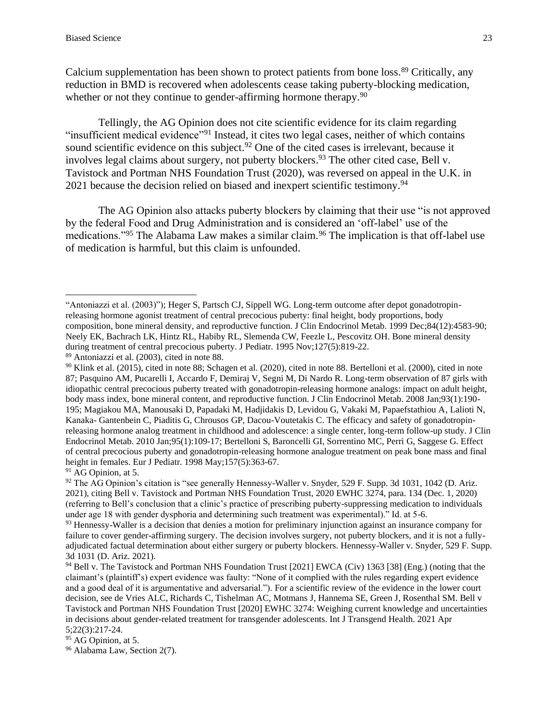Calcium supplementation has been shown to protect patients from bone loss.<sup>89</sup> Critically, any reduction in BMD is recovered when adolescents cease taking puberty-blocking medication, whether or not they continue to gender-affirming hormone therapy.<sup>90</sup>

Tellingly, the AG Opinion does not cite scientific evidence for its claim regarding "insufficient medical evidence"<sup>91</sup> Instead, it cites two legal cases, neither of which contains sound scientific evidence on this subject.<sup>92</sup> One of the cited cases is irrelevant, because it involves legal claims about surgery, not puberty blockers. <sup>93</sup> The other cited case, Bell v. Tavistock and Portman NHS Foundation Trust (2020), was reversed on appeal in the U.K. in 2021 because the decision relied on biased and inexpert scientific testimony.<sup>94</sup>

The AG Opinion also attacks puberty blockers by claiming that their use "is not approved by the federal Food and Drug Administration and is considered an 'off-label' use of the medications."<sup>95</sup> The Alabama Law makes a similar claim.<sup>96</sup> The implication is that off-label use of medication is harmful, but this claim is unfounded.

<sup>96</sup> Alabama Law, Section 2(7).

<sup>&</sup>quot;Antoniazzi et al. (2003)"); Heger S, Partsch CJ, Sippell WG. Long-term outcome after depot gonadotropinreleasing hormone agonist treatment of central precocious puberty: final height, body proportions, body composition, bone mineral density, and reproductive function. J Clin Endocrinol Metab. 1999 Dec;84(12):4583-90; Neely EK, Bachrach LK, Hintz RL, Habiby RL, Slemenda CW, Feezle L, Pescovitz OH. Bone mineral density during treatment of central precocious puberty. J Pediatr. 1995 Nov;127(5):819-22. <sup>89</sup> Antoniazzi et al. (2003), cited in note 88.

 $90$  Klink et al. (2015), cited in note 88; Schagen et al. (2020), cited in note 88. Bertelloni et al. (2000), cited in note 87; Pasquino AM, Pucarelli I, Accardo F, Demiraj V, Segni M, Di Nardo R. Long-term observation of 87 girls with idiopathic central precocious puberty treated with gonadotropin-releasing hormone analogs: impact on adult height, body mass index, bone mineral content, and reproductive function. J Clin Endocrinol Metab. 2008 Jan;93(1):190- 195; Magiakou MA, Manousaki D, Papadaki M, Hadjidakis D, Levidou G, Vakaki M, Papaefstathiou A, Lalioti N, Kanaka- Gantenbein C, Piaditis G, Chrousos GP, Dacou-Voutetakis C. The efficacy and safety of gonadotropinreleasing hormone analog treatment in childhood and adolescence: a single center, long-term follow-up study. J Clin Endocrinol Metab. 2010 Jan;95(1):109-17; Bertelloni S, Baroncelli GI, Sorrentino MC, Perri G, Saggese G. Effect of central precocious puberty and gonadotropin-releasing hormone analogue treatment on peak bone mass and final height in females. Eur J Pediatr. 1998 May;157(5):363-67.

<sup>91</sup> AG Opinion, at 5.

 $92$  The AG Opinion's citation is "see generally Hennessy-Waller v. Snyder, 529 F. Supp. 3d 1031, 1042 (D. Ariz. 2021), citing Bell v. Tavistock and Portman NHS Foundation Trust, 2020 EWHC 3274, para. 134 (Dec. 1, 2020) (referring to Bell's conclusion that a clinic's practice of prescribing puberty-suppressing medication to individuals under age 18 with gender dysphoria and determining such treatment was experimental)." Id. at 5-6.

<sup>&</sup>lt;sup>93</sup> Hennessy-Waller is a decision that denies a motion for preliminary injunction against an insurance company for failure to cover gender-affirming surgery. The decision involves surgery, not puberty blockers, and it is not a fullyadjudicated factual determination about either surgery or puberty blockers. Hennessy-Waller v. Snyder, 529 F. Supp. 3d 1031 (D. Ariz. 2021).

<sup>&</sup>lt;sup>94</sup> Bell v. The Tavistock and Portman NHS Foundation Trust [2021] EWCA (Civ) 1363 [38] (Eng.) (noting that the claimant's (plaintiff's) expert evidence was faulty: "None of it complied with the rules regarding expert evidence and a good deal of it is argumentative and adversarial."). For a scientific review of the evidence in the lower court decision, see de Vries ALC, Richards C, Tishelman AC, Motmans J, Hannema SE, Green J, Rosenthal SM. Bell v Tavistock and Portman NHS Foundation Trust [2020] EWHC 3274: Weighing current knowledge and uncertainties in decisions about gender-related treatment for transgender adolescents. Int J Transgend Health. 2021 Apr 5;22(3):217-24.

<sup>&</sup>lt;sup>95</sup> AG Opinion, at 5.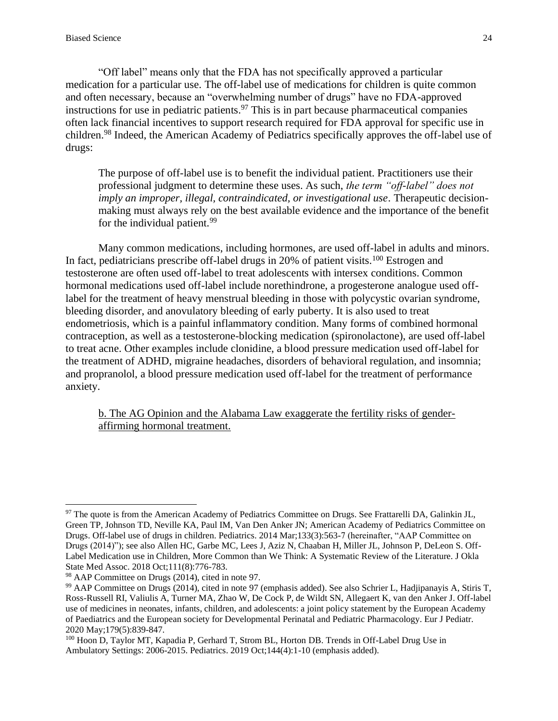"Off label" means only that the FDA has not specifically approved a particular medication for a particular use. The off-label use of medications for children is quite common and often necessary, because an "overwhelming number of drugs" have no FDA-approved instructions for use in pediatric patients. <sup>97</sup> This is in part because pharmaceutical companies often lack financial incentives to support research required for FDA approval for specific use in children.<sup>98</sup> Indeed, the American Academy of Pediatrics specifically approves the off-label use of drugs:

The purpose of off-label use is to benefit the individual patient. Practitioners use their professional judgment to determine these uses. As such, *the term "off-label" does not imply an improper, illegal, contraindicated, or investigational use*. Therapeutic decisionmaking must always rely on the best available evidence and the importance of the benefit for the individual patient.<sup>99</sup>

Many common medications, including hormones, are used off-label in adults and minors. In fact, pediatricians prescribe off-label drugs in 20% of patient visits.<sup>100</sup> Estrogen and testosterone are often used off-label to treat adolescents with intersex conditions. Common hormonal medications used off-label include norethindrone, a progesterone analogue used offlabel for the treatment of heavy menstrual bleeding in those with polycystic ovarian syndrome, bleeding disorder, and anovulatory bleeding of early puberty. It is also used to treat endometriosis, which is a painful inflammatory condition. Many forms of combined hormonal contraception, as well as a testosterone-blocking medication (spironolactone), are used off-label to treat acne. Other examples include clonidine, a blood pressure medication used off-label for the treatment of ADHD, migraine headaches, disorders of behavioral regulation, and insomnia; and propranolol, a blood pressure medication used off-label for the treatment of performance anxiety.

<span id="page-23-0"></span>b. The AG Opinion and the Alabama Law exaggerate the fertility risks of genderaffirming hormonal treatment.

<sup>&</sup>lt;sup>97</sup> The quote is from the American Academy of Pediatrics Committee on Drugs. See Frattarelli DA, Galinkin JL, Green TP, Johnson TD, Neville KA, Paul IM, Van Den Anker JN; American Academy of Pediatrics Committee on Drugs. Off-label use of drugs in children. Pediatrics. 2014 Mar;133(3):563-7 (hereinafter, "AAP Committee on Drugs (2014)"); see also Allen HC, Garbe MC, Lees J, Aziz N, Chaaban H, Miller JL, Johnson P, DeLeon S. Off-Label Medication use in Children, More Common than We Think: A Systematic Review of the Literature. J Okla State Med Assoc. 2018 Oct;111(8):776-783.

<sup>98</sup> AAP Committee on Drugs (2014), cited in note 97.

<sup>99</sup> AAP Committee on Drugs (2014), cited in note 97 (emphasis added). See also Schrier L, Hadjipanayis A, Stiris T, Ross-Russell RI, Valiulis A, Turner MA, Zhao W, De Cock P, de Wildt SN, Allegaert K, van den Anker J. Off-label use of medicines in neonates, infants, children, and adolescents: a joint policy statement by the European Academy of Paediatrics and the European society for Developmental Perinatal and Pediatric Pharmacology. Eur J Pediatr. 2020 May;179(5):839-847.

<sup>&</sup>lt;sup>100</sup> Hoon D, Taylor MT, Kapadia P, Gerhard T, Strom BL, Horton DB. Trends in Off-Label Drug Use in Ambulatory Settings: 2006-2015. Pediatrics. 2019 Oct;144(4):1-10 (emphasis added).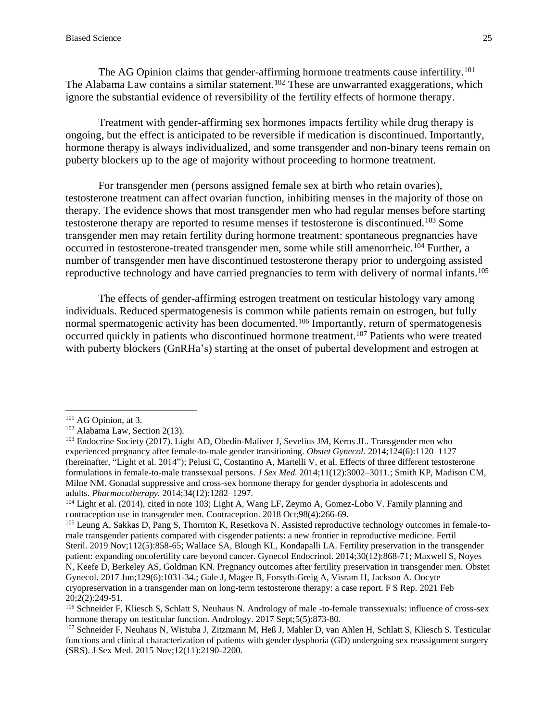The AG Opinion claims that gender-affirming hormone treatments cause infertility.<sup>101</sup> The Alabama Law contains a similar statement.<sup>102</sup> These are unwarranted exaggerations, which ignore the substantial evidence of reversibility of the fertility effects of hormone therapy.

Treatment with gender-affirming sex hormones impacts fertility while drug therapy is ongoing, but the effect is anticipated to be reversible if medication is discontinued. Importantly, hormone therapy is always individualized, and some transgender and non-binary teens remain on puberty blockers up to the age of majority without proceeding to hormone treatment.

For transgender men (persons assigned female sex at birth who retain ovaries), testosterone treatment can affect ovarian function, inhibiting menses in the majority of those on therapy. The evidence shows that most transgender men who had regular menses before starting testosterone therapy are reported to resume menses if testosterone is discontinued.<sup>103</sup> Some transgender men may retain fertility during hormone treatment: spontaneous pregnancies have occurred in testosterone-treated transgender men, some while still amenorrheic.<sup>104</sup> Further, a number of transgender men have discontinued testosterone therapy prior to undergoing assisted reproductive technology and have carried pregnancies to term with delivery of normal infants.<sup>105</sup>

The effects of gender-affirming estrogen treatment on testicular histology vary among individuals. Reduced spermatogenesis is common while patients remain on estrogen, but fully normal spermatogenic activity has been documented.<sup>106</sup> Importantly, return of spermatogenesis occurred quickly in patients who discontinued hormone treatment.<sup>107</sup> Patients who were treated with puberty blockers (GnRHa's) starting at the onset of pubertal development and estrogen at

 $101$  AG Opinion, at 3.

<sup>102</sup> Alabama Law, Section 2(13).

<sup>103</sup> Endocrine Society (2017). Light AD, Obedin-Maliver J, Sevelius JM, Kerns JL. Transgender men who experienced pregnancy after female-to-male gender transitioning. *Obstet Gynecol.* 2014;124(6):1120–1127 (hereinafter, "Light et al. 2014"); Pelusi C, Costantino A, Martelli V, et al. Effects of three different testosterone formulations in female-to-male transsexual persons. *J Sex Med.* 2014;11(12):3002–3011.; Smith KP, Madison CM, Milne NM. Gonadal suppressive and cross-sex hormone therapy for gender dysphoria in adolescents and adults. *Pharmacotherapy.* 2014;34(12):1282–1297.

<sup>&</sup>lt;sup>104</sup> Light et al. (2014), cited in note 103; Light A, Wang LF, Zeymo A, Gomez-Lobo V. Family planning and contraception use in transgender men. Contraception. 2018 Oct;98(4):266-69.

<sup>&</sup>lt;sup>105</sup> Leung A, Sakkas D, Pang S, Thornton K, Resetkova N. Assisted reproductive technology outcomes in female-tomale transgender patients compared with cisgender patients: a new frontier in reproductive medicine. Fertil Steril. 2019 Nov;112(5):858-65; Wallace SA, Blough KL, Kondapalli LA. Fertility preservation in the transgender patient: expanding oncofertility care beyond cancer. Gynecol Endocrinol. 2014;30(12):868-71; Maxwell S, Noyes N, Keefe D, Berkeley AS, Goldman KN. Pregnancy outcomes after fertility preservation in transgender men. Obstet Gynecol. 2017 Jun;129(6):1031-34.; Gale J, Magee B, Forsyth-Greig A, Visram H, Jackson A. Oocyte cryopreservation in a transgender man on long-term testosterone therapy: a case report. F S Rep. 2021 Feb 20;2(2):249-51.

<sup>106</sup> Schneider F, Kliesch S, Schlatt S, Neuhaus N. Andrology of male -to-female transsexuals: influence of cross-sex hormone therapy on testicular function. Andrology. 2017 Sept;5(5):873-80.

<sup>&</sup>lt;sup>107</sup> Schneider F, Neuhaus N, Wistuba J, Zitzmann M, Heß J, Mahler D, van Ahlen H, Schlatt S, Kliesch S. Testicular functions and clinical characterization of patients with gender dysphoria (GD) undergoing sex reassignment surgery (SRS). J Sex Med. 2015 Nov;12(11):2190-2200.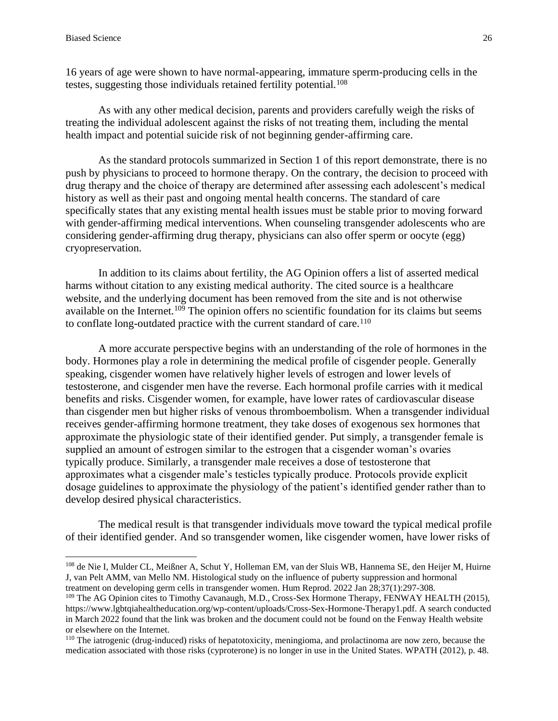16 years of age were shown to have normal-appearing, immature sperm-producing cells in the testes, suggesting those individuals retained fertility potential.<sup>108</sup>

As with any other medical decision, parents and providers carefully weigh the risks of treating the individual adolescent against the risks of not treating them, including the mental health impact and potential suicide risk of not beginning gender-affirming care.

As the standard protocols summarized in Section 1 of this report demonstrate, there is no push by physicians to proceed to hormone therapy. On the contrary, the decision to proceed with drug therapy and the choice of therapy are determined after assessing each adolescent's medical history as well as their past and ongoing mental health concerns. The standard of care specifically states that any existing mental health issues must be stable prior to moving forward with gender-affirming medical interventions. When counseling transgender adolescents who are considering gender-affirming drug therapy, physicians can also offer sperm or oocyte (egg) cryopreservation.

In addition to its claims about fertility, the AG Opinion offers a list of asserted medical harms without citation to any existing medical authority. The cited source is a healthcare website, and the underlying document has been removed from the site and is not otherwise available on the Internet.<sup>109</sup> The opinion offers no scientific foundation for its claims but seems to conflate long-outdated practice with the current standard of care.<sup>110</sup>

A more accurate perspective begins with an understanding of the role of hormones in the body. Hormones play a role in determining the medical profile of cisgender people. Generally speaking, cisgender women have relatively higher levels of estrogen and lower levels of testosterone, and cisgender men have the reverse. Each hormonal profile carries with it medical benefits and risks. Cisgender women, for example, have lower rates of cardiovascular disease than cisgender men but higher risks of venous thromboembolism. When a transgender individual receives gender-affirming hormone treatment, they take doses of exogenous sex hormones that approximate the physiologic state of their identified gender. Put simply, a transgender female is supplied an amount of estrogen similar to the estrogen that a cisgender woman's ovaries typically produce. Similarly, a transgender male receives a dose of testosterone that approximates what a cisgender male's testicles typically produce. Protocols provide explicit dosage guidelines to approximate the physiology of the patient's identified gender rather than to develop desired physical characteristics.

The medical result is that transgender individuals move toward the typical medical profile of their identified gender. And so transgender women, like cisgender women, have lower risks of

<sup>108</sup> de Nie I, Mulder CL, Meißner A, Schut Y, Holleman EM, van der Sluis WB, Hannema SE, den Heijer M, Huirne J, van Pelt AMM, van Mello NM. Histological study on the influence of puberty suppression and hormonal treatment on developing germ cells in transgender women. Hum Reprod. 2022 Jan 28;37(1):297-308.

<sup>109</sup> The AG Opinion cites to Timothy Cavanaugh, M.D., Cross-Sex Hormone Therapy, FENWAY HEALTH (2015), [https://www.lgbtqiahealtheducation.org/wp-content/uploads/Cross-Sex-Hormone-Therapy1.pdf.](https://www.lgbtqiahealtheducation.org/wp-content/uploads/Cross-Sex-Hormone-Therapy1.pdf) A search conducted in March 2022 found that the link was broken and the document could not be found on the Fenway Health website or elsewhere on the Internet.

<sup>110</sup> The iatrogenic (drug-induced) risks of hepatotoxicity, meningioma, and prolactinoma are now zero, because the medication associated with those risks (cyproterone) is no longer in use in the United States. WPATH (2012), p. 48.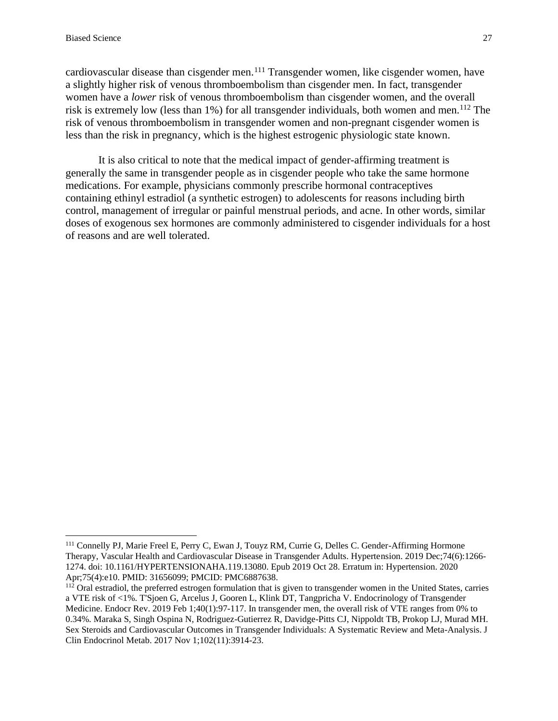cardiovascular disease than cisgender men.<sup>111</sup> Transgender women, like cisgender women, have a slightly higher risk of venous thromboembolism than cisgender men. In fact, transgender women have a *lower* risk of venous thromboembolism than cisgender women, and the overall risk is extremely low (less than  $1\%$ ) for all transgender individuals, both women and men.<sup>112</sup> The risk of venous thromboembolism in transgender women and non-pregnant cisgender women is less than the risk in pregnancy, which is the highest estrogenic physiologic state known.

It is also critical to note that the medical impact of gender-affirming treatment is generally the same in transgender people as in cisgender people who take the same hormone medications. For example, physicians commonly prescribe hormonal contraceptives containing ethinyl estradiol (a synthetic estrogen) to adolescents for reasons including birth control, management of irregular or painful menstrual periods, and acne. In other words, similar doses of exogenous sex hormones are commonly administered to cisgender individuals for a host of reasons and are well tolerated.

<sup>111</sup> Connelly PJ, Marie Freel E, Perry C, Ewan J, Touyz RM, Currie G, Delles C. Gender-Affirming Hormone Therapy, Vascular Health and Cardiovascular Disease in Transgender Adults. Hypertension. 2019 Dec;74(6):1266- 1274. doi: 10.1161/HYPERTENSIONAHA.119.13080. Epub 2019 Oct 28. Erratum in: Hypertension. 2020 Apr;75(4):e10. PMID: 31656099; PMCID: PMC6887638.

<sup>&</sup>lt;sup>112</sup> Oral estradiol, the preferred estrogen formulation that is given to transgender women in the United States, carries a VTE risk of <1%. T'Sjoen G, Arcelus J, Gooren L, Klink DT, Tangpricha V. Endocrinology of Transgender Medicine. Endocr Rev. 2019 Feb 1;40(1):97-117. In transgender men, the overall risk of VTE ranges from 0% to 0.34%. Maraka S, Singh Ospina N, Rodriguez-Gutierrez R, Davidge-Pitts CJ, Nippoldt TB, Prokop LJ, Murad MH. Sex Steroids and Cardiovascular Outcomes in Transgender Individuals: A Systematic Review and Meta-Analysis. J Clin Endocrinol Metab. 2017 Nov 1;102(11):3914-23.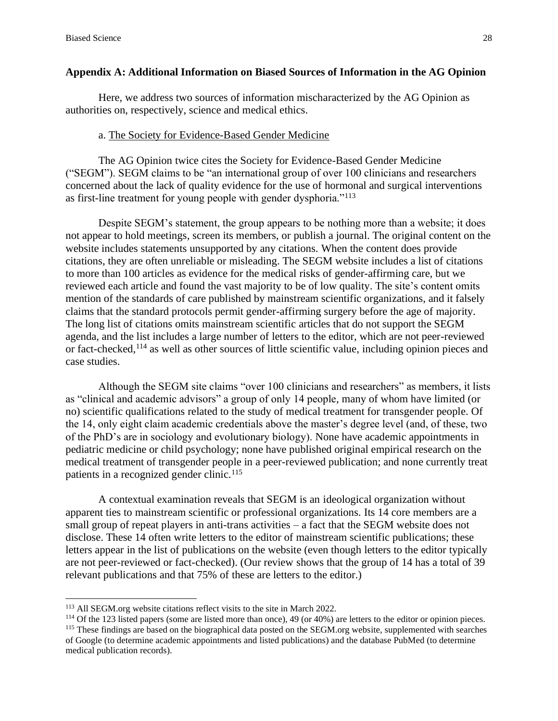#### <span id="page-27-0"></span>**Appendix A: Additional Information on Biased Sources of Information in the AG Opinion**

Here, we address two sources of information mischaracterized by the AG Opinion as authorities on, respectively, science and medical ethics.

#### a. The Society for Evidence-Based Gender Medicine

The AG Opinion twice cites the Society for Evidence-Based Gender Medicine ("SEGM"). SEGM claims to be "an international group of over 100 clinicians and researchers concerned about the lack of quality evidence for the use of hormonal and surgical interventions as first-line treatment for young people with gender dysphoria."<sup>113</sup>

Despite SEGM's statement, the group appears to be nothing more than a website; it does not appear to hold meetings, screen its members, or publish a journal. The original content on the website includes statements unsupported by any citations. When the content does provide citations, they are often unreliable or misleading. The SEGM website includes a list of citations to more than 100 articles as evidence for the medical risks of gender-affirming care, but we reviewed each article and found the vast majority to be of low quality. The site's content omits mention of the standards of care published by mainstream scientific organizations, and it falsely claims that the standard protocols permit gender-affirming surgery before the age of majority. The long list of citations omits mainstream scientific articles that do not support the SEGM agenda, and the list includes a large number of letters to the editor, which are not peer-reviewed or fact-checked, <sup>114</sup> as well as other sources of little scientific value, including opinion pieces and case studies.

Although the SEGM site claims "over 100 clinicians and researchers" as members, it lists as "clinical and academic advisors" a group of only 14 people, many of whom have limited (or no) scientific qualifications related to the study of medical treatment for transgender people. Of the 14, only eight claim academic credentials above the master's degree level (and, of these, two of the PhD's are in sociology and evolutionary biology). None have academic appointments in pediatric medicine or child psychology; none have published original empirical research on the medical treatment of transgender people in a peer-reviewed publication; and none currently treat patients in a recognized gender clinic.<sup>115</sup>

A contextual examination reveals that SEGM is an ideological organization without apparent ties to mainstream scientific or professional organizations. Its 14 core members are a small group of repeat players in anti-trans activities – a fact that the SEGM website does not disclose. These 14 often write letters to the editor of mainstream scientific publications; these letters appear in the list of publications on the website (even though letters to the editor typically are not peer-reviewed or fact-checked). (Our review shows that the group of 14 has a total of 39 relevant publications and that 75% of these are letters to the editor.)

 $114$  Of the 123 listed papers (some are listed more than once), 49 (or 40%) are letters to the editor or opinion pieces.

<sup>113</sup> All SEGM.org website citations reflect visits to the site in March 2022.

<sup>&</sup>lt;sup>115</sup> These findings are based on the biographical data posted on the SEGM.org website, supplemented with searches of Google (to determine academic appointments and listed publications) and the database PubMed (to determine medical publication records).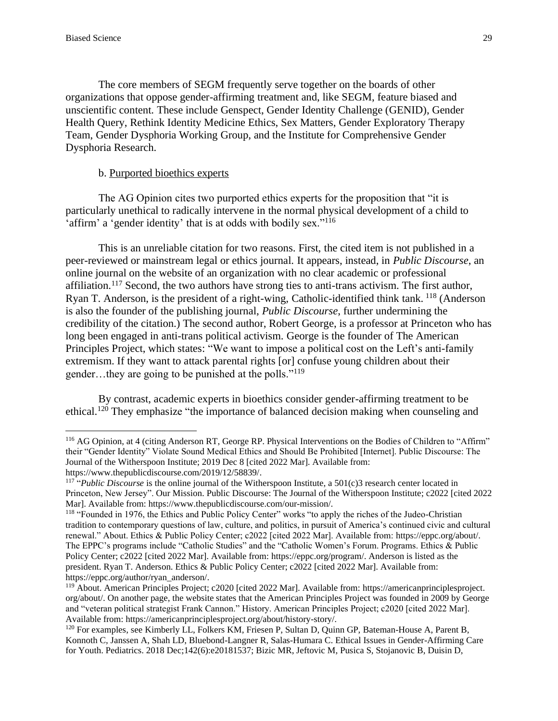The core members of SEGM frequently serve together on the boards of other organizations that oppose gender-affirming treatment and, like SEGM, feature biased and unscientific content. These include Genspect, Gender Identity Challenge (GENID), Gender Health Query, Rethink Identity Medicine Ethics, Sex Matters, Gender Exploratory Therapy Team, Gender Dysphoria Working Group, and the Institute for Comprehensive Gender Dysphoria Research.

#### b. Purported bioethics experts

The AG Opinion cites two purported ethics experts for the proposition that "it is particularly unethical to radically intervene in the normal physical development of a child to 'affirm' a 'gender identity' that is at odds with bodily sex."<sup>116</sup>

This is an unreliable citation for two reasons. First, the cited item is not published in a peer-reviewed or mainstream legal or ethics journal. It appears, instead, in *Public Discourse*, an online journal on the website of an organization with no clear academic or professional affiliation.<sup>117</sup> Second, the two authors have strong ties to anti-trans activism. The first author, Ryan T. Anderson, is the president of a right-wing, Catholic-identified think tank. <sup>118</sup> (Anderson is also the founder of the publishing journal, *Public Discourse*, further undermining the credibility of the citation.) The second author, Robert George, is a professor at Princeton who has long been engaged in anti-trans political activism. George is the founder of The American Principles Project, which states: "We want to impose a political cost on the Left's anti-family extremism. If they want to attack parental rights [or] confuse young children about their gender…they are going to be punished at the polls."<sup>119</sup>

By contrast, academic experts in bioethics consider gender-affirming treatment to be ethical.<sup>120</sup> They emphasize "the importance of balanced decision making when counseling and

<sup>116</sup> AG Opinion, at 4 (citing Anderson RT, George RP. Physical Interventions on the Bodies of Children to "Affirm" their "Gender Identity" Violate Sound Medical Ethics and Should Be Prohibited [Internet]. Public Discourse: The Journal of the Witherspoon Institute; 2019 Dec 8 [cited 2022 Mar]. Available from: [https://www.thepublicdiscourse.com/2019/12/58839/.](https://www.thepublicdiscourse.com/2019/12/58839/)

<sup>&</sup>lt;sup>117</sup> "*Public Discourse* is the online journal of the [Witherspoon](http://www.winst.org/index.php) Institute, a 501(c)3 research center located in Princeton, New Jersey". Our Mission. Public Discourse: The Journal of the Witherspoon Institute; c2022 [cited 2022 Mar]. Available from: https://www.thepublicdiscourse.com/our-mission/.

<sup>&</sup>lt;sup>118</sup> "Founded in 1976, the Ethics and Public Policy Center" works "to apply the riches of the Judeo-Christian tradition to contemporary questions of law, culture, and politics, in pursuit of America's continued civic and cultural renewal." About. Ethics & Public Policy Center; c2022 [cited 2022 Mar]. Available from: [https://eppc.org/about/.](https://eppc.org/about/) The EPPC's programs include "Catholic Studies" and the "Catholic Women's Forum. Programs. Ethics & Public Policy Center; c2022 [cited 2022 Mar]. Available from: [https://eppc.org/program/.](https://eppc.org/program/) Anderson is listed as the president. Ryan T. Anderson. Ethics & Public Policy Center; c2022 [cited 2022 Mar]. Available from: [https://eppc.org/author/ryan\\_anderson/.](https://eppc.org/author/ryan_anderson/)

<sup>119</sup> About. American Principles Project; c2020 [cited 2022 Mar]. Available from: [https://americanprinciplesproject.](https://americanprinciplesproject.org/about/) [org/about/.](https://americanprinciplesproject.org/about/) On another page, the website states that the American Principles Project was founded in 2009 by George and "veteran political strategist Frank Cannon." History. American Principles Project; c2020 [cited 2022 Mar]. Available from: [https://americanprinciplesproject.org/about/history-story/.](https://americanprinciplesproject.org/about/history-story/)

<sup>&</sup>lt;sup>120</sup> For examples, see Kimberly LL, Folkers KM, Friesen P, Sultan D, Quinn GP, Bateman-House A, Parent B, Konnoth C, Janssen A, Shah LD, Bluebond-Langner R, Salas-Humara C. Ethical Issues in Gender-Affirming Care for Youth. Pediatrics. 2018 Dec;142(6):e20181537; Bizic MR, Jeftovic M, Pusica S, Stojanovic B, Duisin D,